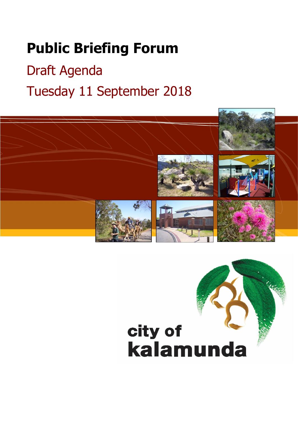# **Public Briefing Forum**

# Draft Agenda Tuesday 11 September 2018



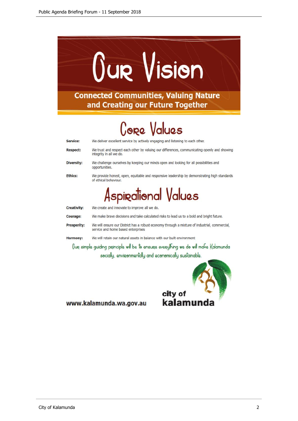

# **Core Values**

We deliver excellent service by actively engaging and listening to each other. Service: **Respect:** We trust and respect each other by valuing our differences, communicating openly and showing integrity in all we do. **Diversity:** We challenge ourselves by keeping our minds open and looking for all possibilities and opportunities. **Ethics:** We provide honest, open, equitable and responsive leadership by demonstrating high standards of ethical behaviour. Aspirational Values **Creativity:** We create and innovate to improve all we do. We make brave decisions and take calculated risks to lead us to a bold and bright future. Courage: **Prosperity:** We will ensure our District has a robust economy through a mixture of industrial, commercial, service and home based enterprises We will retain our natural assets in balance with our built environment **Harmony:** Gue simple guiding peinciple will be to ensuee everything we do will make Kalamunda

socially, environmentally and economically sustainable.



www.kalamunda.wa.gov.au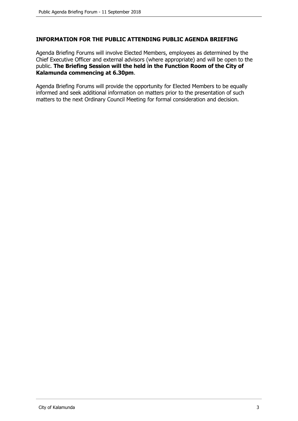# **INFORMATION FOR THE PUBLIC ATTENDING PUBLIC AGENDA BRIEFING**

Agenda Briefing Forums will involve Elected Members, employees as determined by the Chief Executive Officer and external advisors (where appropriate) and will be open to the public. **The Briefing Session will the held in the Function Room of the City of Kalamunda commencing at 6.30pm**.

Agenda Briefing Forums will provide the opportunity for Elected Members to be equally informed and seek additional information on matters prior to the presentation of such matters to the next Ordinary Council Meeting for formal consideration and decision.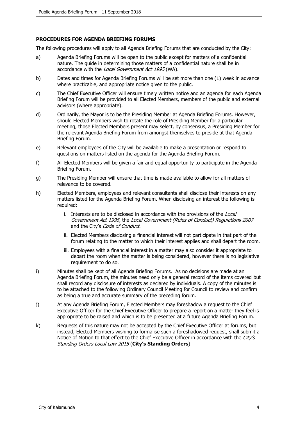#### **PROCEDURES FOR AGENDA BRIEFING FORUMS**

The following procedures will apply to all Agenda Briefing Forums that are conducted by the City:

- a) Agenda Briefing Forums will be open to the public except for matters of a confidential nature. The guide in determining those matters of a confidential nature shall be in accordance with the Local Government Act 1995 (WA).
- b) Dates and times for Agenda Briefing Forums will be set more than one (1) week in advance where practicable, and appropriate notice given to the public.
- c) The Chief Executive Officer will ensure timely written notice and an agenda for each Agenda Briefing Forum will be provided to all Elected Members, members of the public and external advisors (where appropriate).
- d) Ordinarily, the Mayor is to be the Presiding Member at Agenda Briefing Forums. However, should Elected Members wish to rotate the role of Presiding Member for a particular meeting, those Elected Members present may select, by consensus, a Presiding Member for the relevant Agenda Briefing Forum from amongst themselves to preside at that Agenda Briefing Forum.
- e) Relevant employees of the City will be available to make a presentation or respond to questions on matters listed on the agenda for the Agenda Briefing Forum.
- f) All Elected Members will be given a fair and equal opportunity to participate in the Agenda Briefing Forum.
- g) The Presiding Member will ensure that time is made available to allow for all matters of relevance to be covered.
- h) Elected Members, employees and relevant consultants shall disclose their interests on any matters listed for the Agenda Briefing Forum. When disclosing an interest the following is required:
	- i. Interests are to be disclosed in accordance with the provisions of the Local Government Act 1995, the Local Government (Rules of Conduct) Regulations 2007 and the City's Code of Conduct.
	- ii. Elected Members disclosing a financial interest will not participate in that part of the forum relating to the matter to which their interest applies and shall depart the room.
	- iii. Employees with a financial interest in a matter may also consider it appropriate to depart the room when the matter is being considered, however there is no legislative requirement to do so.
- i) Minutes shall be kept of all Agenda Briefing Forums. As no decisions are made at an Agenda Briefing Forum, the minutes need only be a general record of the items covered but shall record any disclosure of interests as declared by individuals. A copy of the minutes is to be attached to the following Ordinary Council Meeting for Council to review and confirm as being a true and accurate summary of the preceding forum.
- j) At any Agenda Briefing Forum, Elected Members may foreshadow a request to the Chief Executive Officer for the Chief Executive Officer to prepare a report on a matter they feel is appropriate to be raised and which is to be presented at a future Agenda Briefing Forum.
- k) Requests of this nature may not be accepted by the Chief Executive Officer at forums, but instead, Elected Members wishing to formalise such a foreshadowed request, shall submit a Notice of Motion to that effect to the Chief Executive Officer in accordance with the City's Standing Orders Local Law 2015 (**City's Standing Orders**)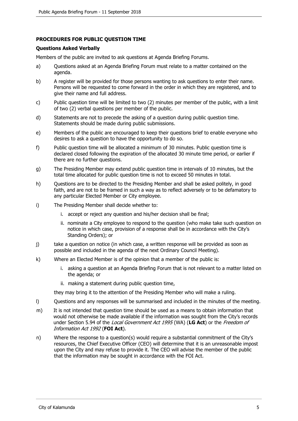#### **PROCEDURES FOR PUBLIC QUESTION TIME**

#### **Questions Asked Verbally**

Members of the public are invited to ask questions at Agenda Briefing Forums.

- a) Questions asked at an Agenda Briefing Forum must relate to a matter contained on the agenda.
- b) A register will be provided for those persons wanting to ask questions to enter their name. Persons will be requested to come forward in the order in which they are registered, and to give their name and full address.
- c) Public question time will be limited to two (2) minutes per member of the public, with a limit of two (2) verbal questions per member of the public.
- d) Statements are not to precede the asking of a question during public question time. Statements should be made during public submissions.
- e) Members of the public are encouraged to keep their questions brief to enable everyone who desires to ask a question to have the opportunity to do so.
- f) Public question time will be allocated a minimum of 30 minutes. Public question time is declared closed following the expiration of the allocated 30 minute time period, or earlier if there are no further questions.
- g) The Presiding Member may extend public question time in intervals of 10 minutes, but the total time allocated for public question time is not to exceed 50 minutes in total.
- h) Questions are to be directed to the Presiding Member and shall be asked politely, in good faith, and are not to be framed in such a way as to reflect adversely or to be defamatory to any particular Elected Member or City employee.
- i) The Presiding Member shall decide whether to:
	- i. accept or reject any question and his/her decision shall be final;
	- ii. nominate a City employee to respond to the question (who make take such question on notice in which case, provision of a response shall be in accordance with the City's Standing Orders); or
- j) take a question on notice (in which case, a written response will be provided as soon as possible and included in the agenda of the next Ordinary Council Meeting).
- k) Where an Elected Member is of the opinion that a member of the public is:
	- i. asking a question at an Agenda Briefing Forum that is not relevant to a matter listed on the agenda; or
	- ii. making a statement during public question time,

they may bring it to the attention of the Presiding Member who will make a ruling.

- l) Questions and any responses will be summarised and included in the minutes of the meeting.
- m) It is not intended that question time should be used as a means to obtain information that would not otherwise be made available if the information was sought from the City's records under Section 5.94 of the Local Government Act 1995 (WA) (**LG Act**) or the Freedom of Information Act 1992 (**FOI Act**).
- n) Where the response to a question(s) would require a substantial commitment of the City's resources, the Chief Executive Officer (CEO) will determine that it is an unreasonable impost upon the City and may refuse to provide it. The CEO will advise the member of the public that the information may be sought in accordance with the FOI Act.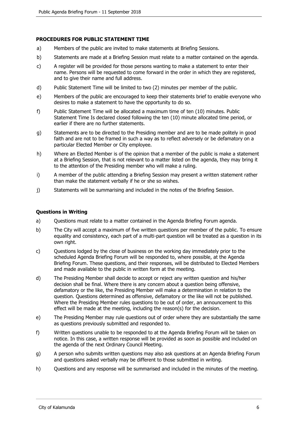#### **PROCEDURES FOR PUBLIC STATEMENT TIME**

- a) Members of the public are invited to make statements at Briefing Sessions.
- b) Statements are made at a Briefing Session must relate to a matter contained on the agenda.
- c) A register will be provided for those persons wanting to make a statement to enter their name. Persons will be requested to come forward in the order in which they are registered, and to give their name and full address.
- d) Public Statement Time will be limited to two (2) minutes per member of the public.
- e) Members of the public are encouraged to keep their statements brief to enable everyone who desires to make a statement to have the opportunity to do so.
- f) Public Statement Time will be allocated a maximum time of ten (10) minutes. Public Statement Time Is declared closed following the ten (10) minute allocated time period, or earlier if there are no further statements.
- g) Statements are to be directed to the Presiding member and are to be made politely in good faith and are not to be framed in such a way as to reflect adversely or be defamatory on a particular Elected Member or City employee.
- h) Where an Elected Member is of the opinion that a member of the public is make a statement at a Briefing Session, that is not relevant to a matter listed on the agenda, they may bring it to the attention of the Presiding member who will make a ruling.
- i) A member of the public attending a Briefing Session may present a written statement rather than make the statement verbally if he or she so wishes.
- j) Statements will be summarising and included in the notes of the Briefing Session.

#### **Questions in Writing**

- a) Questions must relate to a matter contained in the Agenda Briefing Forum agenda.
- b) The City will accept a maximum of five written questions per member of the public. To ensure equality and consistency, each part of a multi-part question will be treated as a question in its own right.
- c) Questions lodged by the close of business on the working day immediately prior to the scheduled Agenda Briefing Forum will be responded to, where possible, at the Agenda Briefing Forum. These questions, and their responses, will be distributed to Elected Members and made available to the public in written form at the meeting.
- d) The Presiding Member shall decide to accept or reject any written question and his/her decision shall be final. Where there is any concern about a question being offensive, defamatory or the like, the Presiding Member will make a determination in relation to the question. Questions determined as offensive, defamatory or the like will not be published. Where the Presiding Member rules questions to be out of order, an announcement to this effect will be made at the meeting, including the reason(s) for the decision.
- e) The Presiding Member may rule questions out of order where they are substantially the same as questions previously submitted and responded to.
- f) Written questions unable to be responded to at the Agenda Briefing Forum will be taken on notice. In this case, a written response will be provided as soon as possible and included on the agenda of the next Ordinary Council Meeting.
- g) A person who submits written questions may also ask questions at an Agenda Briefing Forum and questions asked verbally may be different to those submitted in writing.
- h) Questions and any response will be summarised and included in the minutes of the meeting.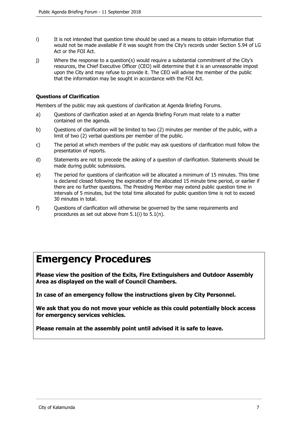- i) It is not intended that question time should be used as a means to obtain information that would not be made available if it was sought from the City's records under Section 5.94 of LG Act or the FOI Act.
- j) Where the response to a question(s) would require a substantial commitment of the City's resources, the Chief Executive Officer (CEO) will determine that it is an unreasonable impost upon the City and may refuse to provide it. The CEO will advise the member of the public that the information may be sought in accordance with the FOI Act.

#### **Questions of Clarification**

Members of the public may ask questions of clarification at Agenda Briefing Forums.

- a) Questions of clarification asked at an Agenda Briefing Forum must relate to a matter contained on the agenda.
- b) Questions of clarification will be limited to two (2) minutes per member of the public, with a limit of two (2) verbal questions per member of the public.
- c) The period at which members of the public may ask questions of clarification must follow the presentation of reports.
- d) Statements are not to precede the asking of a question of clarification. Statements should be made during public submissions.
- e) The period for questions of clarification will be allocated a minimum of 15 minutes. This time is declared closed following the expiration of the allocated 15 minute time period, or earlier if there are no further questions. The Presiding Member may extend public question time in intervals of 5 minutes, but the total time allocated for public question time is not to exceed 30 minutes in total.
- f) Questions of clarification will otherwise be governed by the same requirements and procedures as set out above from 5.1(i) to 5.1(n).

# **Emergency Procedures**

**Please view the position of the Exits, Fire Extinguishers and Outdoor Assembly Area as displayed on the wall of Council Chambers.**

**In case of an emergency follow the instructions given by City Personnel.**

**We ask that you do not move your vehicle as this could potentially block access for emergency services vehicles.**

**Please remain at the assembly point until advised it is safe to leave.**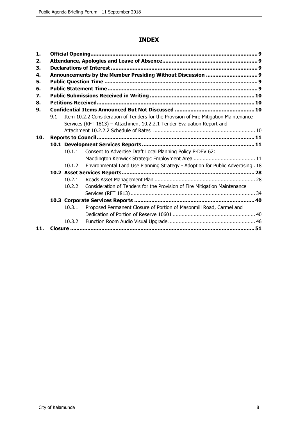# **INDEX**

| 1.  |     |        |                                                                                       |  |  |
|-----|-----|--------|---------------------------------------------------------------------------------------|--|--|
| 2.  |     |        |                                                                                       |  |  |
| 3.  |     |        |                                                                                       |  |  |
| 4.  |     |        |                                                                                       |  |  |
| 5.  |     |        |                                                                                       |  |  |
| 6.  |     |        |                                                                                       |  |  |
| 7.  |     |        |                                                                                       |  |  |
| 8.  |     |        |                                                                                       |  |  |
| 9.  |     |        |                                                                                       |  |  |
|     | 9.1 |        | Item 10.2.2 Consideration of Tenders for the Provision of Fire Mitigation Maintenance |  |  |
|     |     |        | Services (RFT 1813) - Attachment 10.2.2.1 Tender Evaluation Report and                |  |  |
|     |     |        |                                                                                       |  |  |
| 10. |     |        |                                                                                       |  |  |
|     |     |        |                                                                                       |  |  |
|     |     | 10.1.1 | Consent to Advertise Draft Local Planning Policy P-DEV 62:                            |  |  |
|     |     |        |                                                                                       |  |  |
|     |     | 10.1.2 | Environmental Land Use Planning Strategy - Adoption for Public Advertising . 18       |  |  |
|     |     |        |                                                                                       |  |  |
|     |     | 10.2.1 |                                                                                       |  |  |
|     |     | 10.2.2 | Consideration of Tenders for the Provision of Fire Mitigation Maintenance             |  |  |
|     |     |        |                                                                                       |  |  |
|     |     |        |                                                                                       |  |  |
|     |     | 10.3.1 | Proposed Permanent Closure of Portion of Masonmill Road, Carmel and                   |  |  |
|     |     |        |                                                                                       |  |  |
|     |     | 10.3.2 |                                                                                       |  |  |
| 11. |     |        |                                                                                       |  |  |
|     |     |        |                                                                                       |  |  |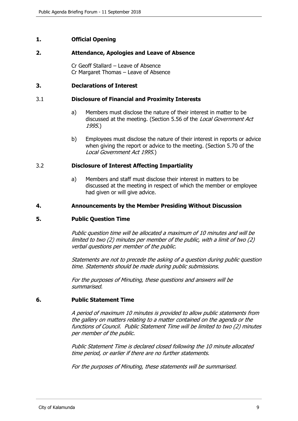# <span id="page-8-0"></span>**1. Official Opening**

#### **2. Attendance, Apologies and Leave of Absence**

Cr Geoff Stallard – Leave of Absence Cr Margaret Thomas – Leave of Absence

#### **3. Declarations of Interest**

#### 3.1 **Disclosure of Financial and Proximity Interests**

- a) Members must disclose the nature of their interest in matter to be discussed at the meeting. (Section 5.56 of the *Local Government Act* 1995.)
- b) Employees must disclose the nature of their interest in reports or advice when giving the report or advice to the meeting. (Section 5.70 of the Local Government Act 1995.)

#### 3.2 **Disclosure of Interest Affecting Impartiality**

a) Members and staff must disclose their interest in matters to be discussed at the meeting in respect of which the member or employee had given or will give advice.

#### **4. Announcements by the Member Presiding Without Discussion**

#### **5. Public Question Time**

Public question time will be allocated a maximum of 10 minutes and will be limited to two (2) minutes per member of the public, with a limit of two (2) verbal questions per member of the public.

Statements are not to precede the asking of a question during public question time. Statements should be made during public submissions.

For the purposes of Minuting, these questions and answers will be summarised.

#### **6. Public Statement Time**

A period of maximum 10 minutes is provided to allow public statements from the gallery on matters relating to a matter contained on the agenda or the functions of Council. Public Statement Time will be limited to two (2) minutes per member of the public.

Public Statement Time is declared closed following the 10 minute allocated time period, or earlier if there are no further statements.

For the purposes of Minuting, these statements will be summarised.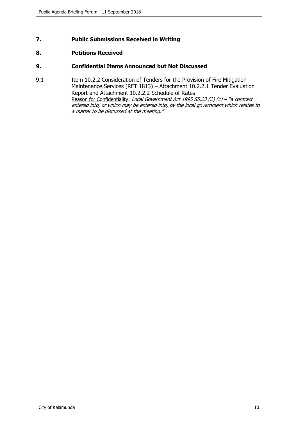# <span id="page-9-0"></span>**7. Public Submissions Received in Writing**

# **8. Petitions Received**

#### **9. Confidential Items Announced but Not Discussed**

9.1 Item 10.2.2 Consideration of Tenders for the Provision of Fire Mitigation Maintenance Services (RFT 1813) – Attachment 10.2.2.1 Tender Evaluation Report and Attachment 10.2.2.2 Schedule of Rates Reason for Confidentiality: Local Government Act 1995 S5.23 (2) (c) - "a contract entered into, or which may be entered into, by the local government which relates to a matter to be discussed at the meeting."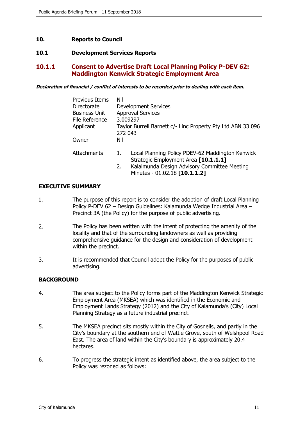### <span id="page-10-0"></span>**10. Reports to Council**

#### **10.1 Development Services Reports**

# **10.1.1 Consent to Advertise Draft Local Planning Policy P-DEV 62: Maddington Kenwick Strategic Employment Area**

**Declaration of financial / conflict of interests to be recorded prior to dealing with each item.**

| Previous Items       | Nil                                                         |                                                  |  |
|----------------------|-------------------------------------------------------------|--------------------------------------------------|--|
| Directorate          | Development Services                                        |                                                  |  |
| <b>Business Unit</b> |                                                             | <b>Approval Services</b>                         |  |
| File Reference       | 3.009297                                                    |                                                  |  |
| Applicant            | Taylor Burrell Barnett c/- Linc Property Pty Ltd ABN 33 096 |                                                  |  |
|                      | 272 043                                                     |                                                  |  |
| Owner                | Nil                                                         |                                                  |  |
| Attachments          | 1.                                                          | Local Planning Policy PDEV-62 Maddington Kenwick |  |
|                      |                                                             | Strategic Employment Area [10.1.1.1]             |  |
|                      | 2.                                                          | Kalalmunda Design Advisory Committee Meeting     |  |
|                      |                                                             | Minutes - 01.02.18 [10.1.1.2]                    |  |

#### **EXECUTIVE SUMMARY**

- 1. The purpose of this report is to consider the adoption of draft Local Planning Policy P-DEV 62 – Design Guidelines: Kalamunda Wedge Industrial Area – Precinct 3A (the Policy) for the purpose of public advertising.
- 2. The Policy has been written with the intent of protecting the amenity of the locality and that of the surrounding landowners as well as providing comprehensive guidance for the design and consideration of development within the precinct.
- 3. It is recommended that Council adopt the Policy for the purposes of public advertising.

#### **BACKGROUND**

- 4. The area subject to the Policy forms part of the Maddington Kenwick Strategic Employment Area (MKSEA) which was identified in the Economic and Employment Lands Strategy (2012) and the City of Kalamunda's (City) Local Planning Strategy as a future industrial precinct.
- 5. The MKSEA precinct sits mostly within the City of Gosnells, and partly in the City's boundary at the southern end of Wattle Grove, south of Welshpool Road East. The area of land within the City's boundary is approximately 20.4 hectares.
- 6. To progress the strategic intent as identified above, the area subject to the Policy was rezoned as follows: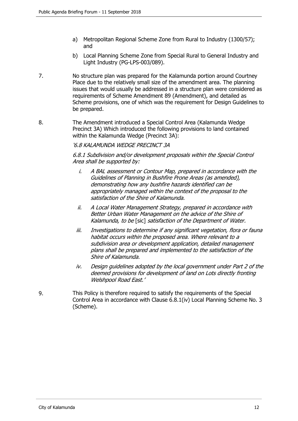- a) Metropolitan Regional Scheme Zone from Rural to Industry (1300/57); and
- b) Local Planning Scheme Zone from Special Rural to General Industry and Light Industry (PG-LPS-003/089).
- 7. No structure plan was prepared for the Kalamunda portion around Courtney Place due to the relatively small size of the amendment area. The planning issues that would usually be addressed in a structure plan were considered as requirements of Scheme Amendment 89 (Amendment), and detailed as Scheme provisions, one of which was the requirement for Design Guidelines to be prepared.
- 8. The Amendment introduced a Special Control Area (Kalamunda Wedge Precinct 3A) Which introduced the following provisions to land contained within the Kalamunda Wedge (Precinct 3A):

### '6.8 KALAMUNDA WEDGE PRECINCT 3A

6.8.1 Subdivision and/or development proposals within the Special Control Area shall be supported by:

- i. A BAL assessment or Contour Map, prepared in accordance with the Guidelines of Planning in Bushfire Prone Areas (as amended), demonstrating how any bushfire hazards identified can be appropriately managed within the context of the proposal to the satisfaction of the Shire of Kalamunda.
- ii. A Local Water Management Strategy, prepared in accordance with Better Urban Water Management on the advice of the Shire of Kalamunda, to be [sic] satisfaction of the Department of Water.
- iii. Investigations to determine if any significant vegetation, flora or fauna habitat occurs within the proposed area. Where relevant to a subdivision area or development application, detailed management plans shall be prepared and implemented to the satisfaction of the Shire of Kalamunda.
- iv. Design guidelines adopted by the local government under Part 2 of the deemed provisions for development of land on Lots directly fronting Welshpool Road East.'
- 9. This Policy is therefore required to satisfy the requirements of the Special Control Area in accordance with Clause 6.8.1(iv) Local Planning Scheme No. 3 (Scheme).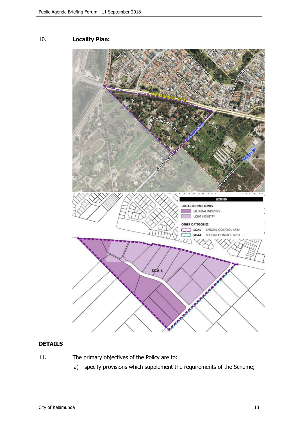# 10. **Locality Plan:**



# **DETAILS**

11. The primary objectives of the Policy are to:

a) specify provisions which supplement the requirements of the Scheme;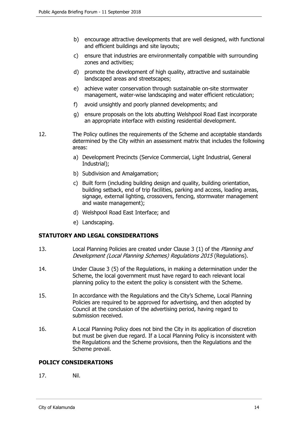- b) encourage attractive developments that are well designed, with functional and efficient buildings and site layouts;
- c) ensure that industries are environmentally compatible with surrounding zones and activities;
- d) promote the development of high quality, attractive and sustainable landscaped areas and streetscapes;
- e) achieve water conservation through sustainable on-site stormwater management, water-wise landscaping and water efficient reticulation;
- f) avoid unsightly and poorly planned developments; and
- g) ensure proposals on the lots abutting Welshpool Road East incorporate an appropriate interface with existing residential development.
- 12. The Policy outlines the requirements of the Scheme and acceptable standards determined by the City within an assessment matrix that includes the following areas:
	- a) Development Precincts (Service Commercial, Light Industrial, General Industrial);
	- b) Subdivision and Amalgamation;
	- c) Built form (including building design and quality, building orientation, building setback, end of trip facilities, parking and access, loading areas, signage, external lighting, crossovers, fencing, stormwater management and waste management);
	- d) Welshpool Road East Interface; and
	- e) Landscaping.

#### **STATUTORY AND LEGAL CONSIDERATIONS**

- 13. Local Planning Policies are created under Clause 3 (1) of the Planning and Development (Local Planning Schemes) Regulations 2015 (Regulations).
- 14. Under Clause 3 (5) of the Regulations, in making a determination under the Scheme, the local government must have regard to each relevant local planning policy to the extent the policy is consistent with the Scheme.
- 15. In accordance with the Regulations and the City's Scheme, Local Planning Policies are required to be approved for advertising, and then adopted by Council at the conclusion of the advertising period, having regard to submission received.
- 16. A Local Planning Policy does not bind the City in its application of discretion but must be given due regard. If a Local Planning Policy is inconsistent with the Regulations and the Scheme provisions, then the Regulations and the Scheme prevail.

#### **POLICY CONSIDERATIONS**

17. Nil.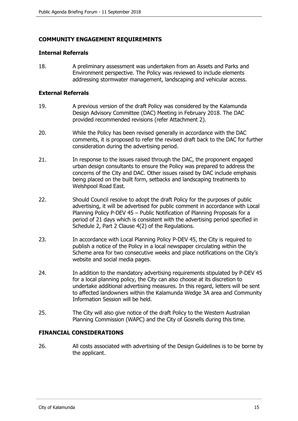# **COMMUNITY ENGAGEMENT REQUIREMENTS**

#### **Internal Referrals**

18. A preliminary assessment was undertaken from an Assets and Parks and Environment perspective. The Policy was reviewed to include elements addressing stormwater management, landscaping and vehicular access.

#### **External Referrals**

- 19. A previous version of the draft Policy was considered by the Kalamunda Design Advisory Committee (DAC) Meeting in February 2018. The DAC provided recommended revisions (refer Attachment 2).
- 20. While the Policy has been revised generally in accordance with the DAC comments, it is proposed to refer the revised draft back to the DAC for further consideration during the advertising period.
- 21. In response to the issues raised through the DAC, the proponent engaged urban design consultants to ensure the Policy was prepared to address the concerns of the City and DAC. Other issues raised by DAC include emphasis being placed on the built form, setbacks and landscaping treatments to Welshpool Road East.
- 22. Should Council resolve to adopt the draft Policy for the purposes of public advertising, it will be advertised for public comment in accordance with Local Planning Policy P-DEV 45 – Public Notification of Planning Proposals for a period of 21 days which is consistent with the advertising period specified in Schedule 2, Part 2 Clause 4(2) of the Regulations.
- 23. In accordance with Local Planning Policy P-DEV 45, the City is required to publish a notice of the Policy in a local newspaper circulating within the Scheme area for two consecutive weeks and place notifications on the City's website and social media pages.
- 24. In addition to the mandatory advertising requirements stipulated by P-DEV 45 for a local planning policy, the City can also choose at its discretion to undertake additional advertising measures. In this regard, letters will be sent to affected landowners within the Kalamunda Wedge 3A area and Community Information Session will be held.
- 25. The City will also give notice of the draft Policy to the Western Australian Planning Commission (WAPC) and the City of Gosnells during this time.

#### **FINANCIAL CONSIDERATIONS**

26. All costs associated with advertising of the Design Guidelines is to be borne by the applicant.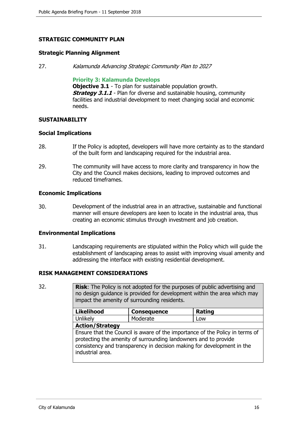# **STRATEGIC COMMUNITY PLAN**

#### **Strategic Planning Alignment**

27. Kalamunda Advancing Strategic Community Plan to 2027

#### **Priority 3: Kalamunda Develops**

**Objective 3.1** - To plan for sustainable population growth. **Strategy 3.1.1** - Plan for diverse and sustainable housing, community facilities and industrial development to meet changing social and economic needs.

#### **SUSTAINABILITY**

#### **Social Implications**

- 28. If the Policy is adopted, developers will have more certainty as to the standard of the built form and landscaping required for the industrial area.
- 29. The community will have access to more clarity and transparency in how the City and the Council makes decisions, leading to improved outcomes and reduced timeframes.

#### **Economic Implications**

30. Development of the industrial area in an attractive, sustainable and functional manner will ensure developers are keen to locate in the industrial area, thus creating an economic stimulus through investment and job creation.

#### **Environmental Implications**

31. Landscaping requirements are stipulated within the Policy which will guide the establishment of landscaping areas to assist with improving visual amenity and addressing the interface with existing residential development.

#### **RISK MANAGEMENT CONSIDERATIONS**

| 32. | <b>Risk:</b> The Policy is not adopted for the purposes of public advertising and<br>no design guidance is provided for development within the area which may<br>impact the amenity of surrounding residents. |                                                                                                                                           |                                                                              |  |
|-----|---------------------------------------------------------------------------------------------------------------------------------------------------------------------------------------------------------------|-------------------------------------------------------------------------------------------------------------------------------------------|------------------------------------------------------------------------------|--|
|     | <b>Likelihood</b>                                                                                                                                                                                             | <b>Consequence</b>                                                                                                                        | Rating                                                                       |  |
|     | Unlikely                                                                                                                                                                                                      | Moderate                                                                                                                                  | Low                                                                          |  |
|     | <b>Action/Strategy</b>                                                                                                                                                                                        |                                                                                                                                           |                                                                              |  |
|     | industrial area.                                                                                                                                                                                              | protecting the amenity of surrounding landowners and to provide<br>consistency and transparency in decision making for development in the | Ensure that the Council is aware of the importance of the Policy in terms of |  |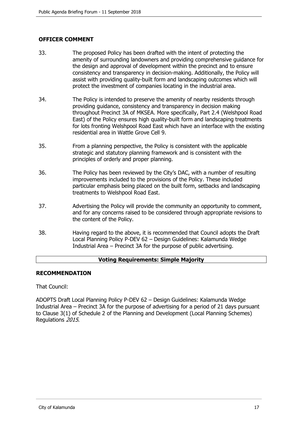# **OFFICER COMMENT**

- 33. The proposed Policy has been drafted with the intent of protecting the amenity of surrounding landowners and providing comprehensive guidance for the design and approval of development within the precinct and to ensure consistency and transparency in decision-making. Additionally, the Policy will assist with providing quality-built form and landscaping outcomes which will protect the investment of companies locating in the industrial area.
- 34. The Policy is intended to preserve the amenity of nearby residents through providing guidance, consistency and transparency in decision making throughout Precinct 3A of MKSEA. More specifically, Part 2.4 (Welshpool Road East) of the Policy ensures high quality-built form and landscaping treatments for lots fronting Welshpool Road East which have an interface with the existing residential area in Wattle Grove Cell 9.
- 35. From a planning perspective, the Policy is consistent with the applicable strategic and statutory planning framework and is consistent with the principles of orderly and proper planning.
- 36. The Policy has been reviewed by the City's DAC, with a number of resulting improvements included to the provisions of the Policy. These included particular emphasis being placed on the built form, setbacks and landscaping treatments to Welshpool Road East.
- 37. Advertising the Policy will provide the community an opportunity to comment, and for any concerns raised to be considered through appropriate revisions to the content of the Policy.
- 38. Having regard to the above, it is recommended that Council adopts the Draft Local Planning Policy P-DEV 62 – Design Guidelines: Kalamunda Wedge Industrial Area – Precinct 3A for the purpose of public advertising.

#### **Voting Requirements: Simple Majority**

### **RECOMMENDATION**

That Council:

ADOPTS Draft Local Planning Policy P-DEV 62 – Design Guidelines: Kalamunda Wedge Industrial Area – Precinct 3A for the purpose of advertising for a period of 21 days pursuant to Clause 3(1) of Schedule 2 of the Planning and Development (Local Planning Schemes) Regulations 2015.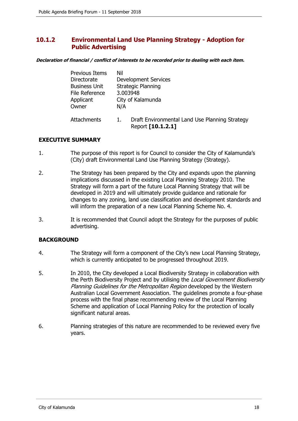# <span id="page-17-0"></span>**10.1.2 Environmental Land Use Planning Strategy - Adoption for Public Advertising**

**Declaration of financial / conflict of interests to be recorded prior to dealing with each item.**

| <b>Previous Items</b> | Nil                                                                       |  |  |
|-----------------------|---------------------------------------------------------------------------|--|--|
| Directorate           | <b>Development Services</b>                                               |  |  |
| <b>Business Unit</b>  | Strategic Planning                                                        |  |  |
| File Reference        | 3.003948                                                                  |  |  |
| Applicant             | City of Kalamunda                                                         |  |  |
| Owner                 | N/A                                                                       |  |  |
| Attachments           | Draft Environmental Land Use Planning Strategy<br>1.<br>Report [10.1.2.1] |  |  |

### **EXECUTIVE SUMMARY**

- 1. The purpose of this report is for Council to consider the City of Kalamunda's (City) draft Environmental Land Use Planning Strategy (Strategy).
- 2. The Strategy has been prepared by the City and expands upon the planning implications discussed in the existing Local Planning Strategy 2010. The Strategy will form a part of the future Local Planning Strategy that will be developed in 2019 and will ultimately provide guidance and rationale for changes to any zoning, land use classification and development standards and will inform the preparation of a new Local Planning Scheme No. 4.
- 3. It is recommended that Council adopt the Strategy for the purposes of public advertising.

# **BACKGROUND**

- 4. The Strategy will form a component of the City's new Local Planning Strategy, which is currently anticipated to be progressed throughout 2019.
- 5. In 2010, the City developed a Local Biodiversity Strategy in collaboration with the Perth Biodiversity Project and by utilising the Local Government Biodiversity Planning Guidelines for the Metropolitan Region developed by the Western Australian Local Government Association. The guidelines promote a four-phase process with the final phase recommending review of the Local Planning Scheme and application of Local Planning Policy for the protection of locally significant natural areas.
- 6. Planning strategies of this nature are recommended to be reviewed every five years.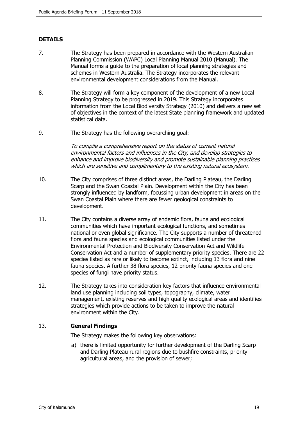# **DETAILS**

- 7. The Strategy has been prepared in accordance with the Western Australian Planning Commission (WAPC) Local Planning Manual 2010 (Manual). The Manual forms a guide to the preparation of local planning strategies and schemes in Western Australia. The Strategy incorporates the relevant environmental development considerations from the Manual.
- 8. The Strategy will form a key component of the development of a new Local Planning Strategy to be progressed in 2019. This Strategy incorporates information from the Local Biodiversity Strategy (2010) and delivers a new set of objectives in the context of the latest State planning framework and updated statistical data.
- 9. The Strategy has the following overarching goal:

To compile a comprehensive report on the status of current natural environmental factors and influences in the City, and develop strategies to enhance and improve biodiversity and promote sustainable planning practises which are sensitive and complimentary to the existing natural ecosystem.

- 10. The City comprises of three distinct areas, the Darling Plateau, the Darling Scarp and the Swan Coastal Plain. Development within the City has been strongly influenced by landform, focussing urban development in areas on the Swan Coastal Plain where there are fewer geological constraints to development.
- 11. The City contains a diverse array of endemic flora, fauna and ecological communities which have important ecological functions, and sometimes national or even global significance. The City supports a number of threatened flora and fauna species and ecological communities listed under the Environmental Protection and Biodiversity Conservation Act and Wildlife Conservation Act and a number of supplementary priority species. There are 22 species listed as rare or likely to become extinct, including 13 flora and nine fauna species. A further 38 flora species, 12 priority fauna species and one species of fungi have priority status.
- 12. The Strategy takes into consideration key factors that influence environmental land use planning including soil types, topography, climate, water management, existing reserves and high quality ecological areas and identifies strategies which provide actions to be taken to improve the natural environment within the City.

### 13. **General Findings**

The Strategy makes the following key observations:

a) there is limited opportunity for further development of the Darling Scarp and Darling Plateau rural regions due to bushfire constraints, priority agricultural areas, and the provision of sewer;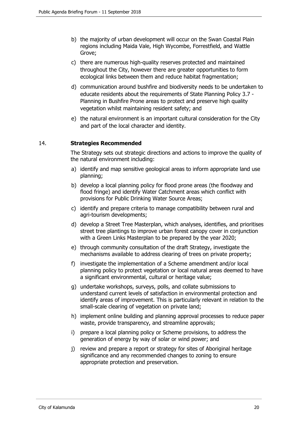- b) the majority of urban development will occur on the Swan Coastal Plain regions including Maida Vale, High Wycombe, Forrestfield, and Wattle Grove;
- c) there are numerous high-quality reserves protected and maintained throughout the City, however there are greater opportunities to form ecological links between them and reduce habitat fragmentation;
- d) communication around bushfire and biodiversity needs to be undertaken to educate residents about the requirements of State Planning Policy 3.7 - Planning in Bushfire Prone areas to protect and preserve high quality vegetation whilst maintaining resident safety; and
- e) the natural environment is an important cultural consideration for the City and part of the local character and identity.

### 14. **Strategies Recommended**

The Strategy sets out strategic directions and actions to improve the quality of the natural environment including:

- a) identify and map sensitive geological areas to inform appropriate land use planning;
- b) develop a local planning policy for flood prone areas (the floodway and flood fringe) and identify Water Catchment areas which conflict with provisions for Public Drinking Water Source Areas;
- c) identify and prepare criteria to manage compatibility between rural and agri-tourism developments;
- d) develop a Street Tree Masterplan, which analyses, identifies, and prioritises street tree plantings to improve urban forest canopy cover in conjunction with a Green Links Masterplan to be prepared by the year 2020;
- e) through community consultation of the draft Strategy, investigate the mechanisms available to address clearing of trees on private property;
- f) investigate the implementation of a Scheme amendment and/or local planning policy to protect vegetation or local natural areas deemed to have a significant environmental, cultural or heritage value;
- g) undertake workshops, surveys, polls, and collate submissions to understand current levels of satisfaction in environmental protection and identify areas of improvement. This is particularly relevant in relation to the small-scale clearing of vegetation on private land;
- h) implement online building and planning approval processes to reduce paper waste, provide transparency, and streamline approvals;
- i) prepare a local planning policy or Scheme provisions, to address the generation of energy by way of solar or wind power; and
- j) review and prepare a report or strategy for sites of Aboriginal heritage significance and any recommended changes to zoning to ensure appropriate protection and preservation.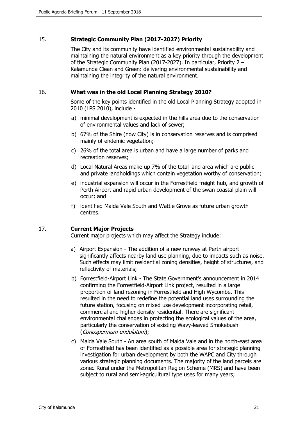### 15. **Strategic Community Plan (2017-2027) Priority**

The City and its community have identified environmental sustainability and maintaining the natural environment as a key priority through the development of the Strategic Community Plan (2017-2027). In particular, Priority 2 – Kalamunda Clean and Green: delivering environmental sustainability and maintaining the integrity of the natural environment.

### 16. **What was in the old Local Planning Strategy 2010?**

Some of the key points identified in the old Local Planning Strategy adopted in 2010 (LPS 2010), include -

- a) minimal development is expected in the hills area due to the conservation of environmental values and lack of sewer;
- b) 67% of the Shire (now City) is in conservation reserves and is comprised mainly of endemic vegetation;
- c) 26% of the total area is urban and have a large number of parks and recreation reserves;
- d) Local Natural Areas make up 7% of the total land area which are public and private landholdings which contain vegetation worthy of conservation;
- e) industrial expansion will occur in the Forrestfield freight hub, and growth of Perth Airport and rapid urban development of the swan coastal plain will occur; and
- f) identified Maida Vale South and Wattle Grove as future urban growth centres.

#### 17. **Current Major Projects**

Current major projects which may affect the Strategy include:

- a) Airport Expansion The addition of a new runway at Perth airport significantly affects nearby land use planning, due to impacts such as noise. Such effects may limit residential zoning densities, height of structures, and reflectivity of materials;
- b) Forrestfield-Airport Link The State Government's announcement in 2014 confirming the Forrestfield-Airport Link project, resulted in a large proportion of land rezoning in Forrestfield and High Wycombe. This resulted in the need to redefine the potential land uses surrounding the future station, focusing on mixed use development incorporating retail, commercial and higher density residential. There are significant environmental challenges in protecting the ecological values of the area, particularly the conservation of existing Wavy-leaved Smokebush (Conospermum undulatum);
- c) Maida Vale South An area south of Maida Vale and in the north-east area of Forrestfield has been identified as a possible area for strategic planning investigation for urban development by both the WAPC and City through various strategic planning documents. The majority of the land parcels are zoned Rural under the Metropolitan Region Scheme (MRS) and have been subject to rural and semi-agricultural type uses for many years;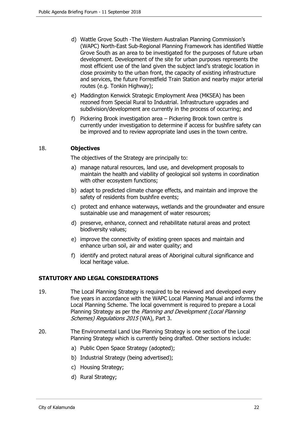- d) Wattle Grove South -The Western Australian Planning Commission's (WAPC) North-East Sub-Regional Planning Framework has identified Wattle Grove South as an area to be investigated for the purposes of future urban development. Development of the site for urban purposes represents the most efficient use of the land given the subject land's strategic location in close proximity to the urban front, the capacity of existing infrastructure and services, the future Forrestfield Train Station and nearby major arterial routes (e.g. Tonkin Highway);
- e) Maddington Kenwick Strategic Employment Area (MKSEA) has been rezoned from Special Rural to Industrial. Infrastructure upgrades and subdivision/development are currently in the process of occurring; and
- f) Pickering Brook investigation area Pickering Brook town centre is currently under investigation to determine if access for bushfire safety can be improved and to review appropriate land uses in the town centre.

### 18. **Objectives**

The objectives of the Strategy are principally to:

- a) manage natural resources, land use, and development proposals to maintain the health and viability of geological soil systems in coordination with other ecosystem functions;
- b) adapt to predicted climate change effects, and maintain and improve the safety of residents from bushfire events;
- c) protect and enhance waterways, wetlands and the groundwater and ensure sustainable use and management of water resources;
- d) preserve, enhance, connect and rehabilitate natural areas and protect biodiversity values;
- e) improve the connectivity of existing green spaces and maintain and enhance urban soil, air and water quality; and
- f) identify and protect natural areas of Aboriginal cultural significance and local heritage value.

# **STATUTORY AND LEGAL CONSIDERATIONS**

- 19. The Local Planning Strategy is required to be reviewed and developed every five years in accordance with the WAPC Local Planning Manual and informs the Local Planning Scheme. The local government is required to prepare a Local Planning Strategy as per the Planning and Development (Local Planning Schemes) Regulations 2015 (WA), Part 3.
- 20. The Environmental Land Use Planning Strategy is one section of the Local Planning Strategy which is currently being drafted. Other sections include:
	- a) Public Open Space Strategy (adopted);
	- b) Industrial Strategy (being advertised);
	- c) Housing Strategy;
	- d) Rural Strategy;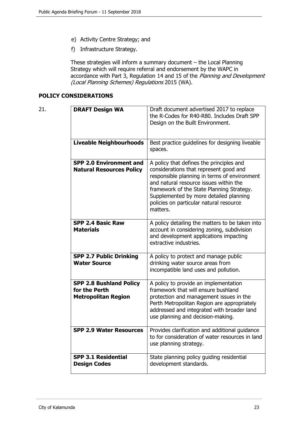- e) Activity Centre Strategy; and
- f) Infrastructure Strategy.

These strategies will inform a summary document – the Local Planning Strategy which will require referral and endorsement by the WAPC in accordance with Part 3, Regulation 14 and 15 of the Planning and Development (Local Planning Schemes) Regulations 2015 (WA).

# **POLICY CONSIDERATIONS**

| 21. | <b>DRAFT Design WA</b>                                                        | Draft document advertised 2017 to replace<br>the R-Codes for R40-R80. Includes Draft SPP<br>Design on the Built Environment.                                                                                                                                                                                               |
|-----|-------------------------------------------------------------------------------|----------------------------------------------------------------------------------------------------------------------------------------------------------------------------------------------------------------------------------------------------------------------------------------------------------------------------|
|     | <b>Liveable Neighbourhoods</b>                                                | Best practice guidelines for designing liveable<br>spaces.                                                                                                                                                                                                                                                                 |
|     | <b>SPP 2.0 Environment and</b><br><b>Natural Resources Policy</b>             | A policy that defines the principles and<br>considerations that represent good and<br>responsible planning in terms of environment<br>and natural resource issues within the<br>framework of the State Planning Strategy.<br>Supplemented by more detailed planning<br>policies on particular natural resource<br>matters. |
|     | <b>SPP 2.4 Basic Raw</b><br><b>Materials</b>                                  | A policy detailing the matters to be taken into<br>account in considering zoning, subdivision<br>and development applications impacting<br>extractive industries.                                                                                                                                                          |
|     | <b>SPP 2.7 Public Drinking</b><br><b>Water Source</b>                         | A policy to protect and manage public<br>drinking water source areas from<br>incompatible land uses and pollution.                                                                                                                                                                                                         |
|     | <b>SPP 2.8 Bushland Policy</b><br>for the Perth<br><b>Metropolitan Region</b> | A policy to provide an implementation<br>framework that will ensure bushland<br>protection and management issues in the<br>Perth Metropolitan Region are appropriately<br>addressed and integrated with broader land<br>use planning and decision-making.                                                                  |
|     | <b>SPP 2.9 Water Resources</b>                                                | Provides clarification and additional guidance<br>to for consideration of water resources in land<br>use planning strategy.                                                                                                                                                                                                |
|     | <b>SPP 3.1 Residential</b><br><b>Design Codes</b>                             | State planning policy guiding residential<br>development standards.                                                                                                                                                                                                                                                        |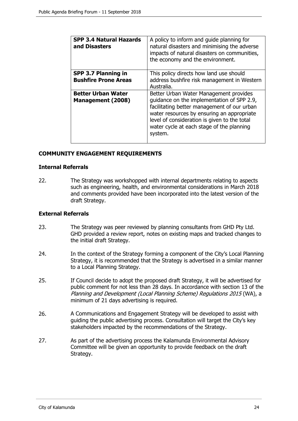| <b>SPP 3.4 Natural Hazards</b><br>and Disasters       | A policy to inform and guide planning for<br>natural disasters and minimising the adverse<br>impacts of natural disasters on communities,<br>the economy and the environment.                                                                                                             |
|-------------------------------------------------------|-------------------------------------------------------------------------------------------------------------------------------------------------------------------------------------------------------------------------------------------------------------------------------------------|
| SPP 3.7 Planning in<br><b>Bushfire Prone Areas</b>    | This policy directs how land use should<br>address bushfire risk management in Western<br>Australia.                                                                                                                                                                                      |
| <b>Better Urban Water</b><br><b>Management (2008)</b> | Better Urban Water Management provides<br>quidance on the implementation of SPP 2.9,<br>facilitating better management of our urban<br>water resources by ensuring an appropriate<br>level of consideration is given to the total<br>water cycle at each stage of the planning<br>system. |

# **COMMUNITY ENGAGEMENT REQUIREMENTS**

#### **Internal Referrals**

22. The Strategy was workshopped with internal departments relating to aspects such as engineering, health, and environmental considerations in March 2018 and comments provided have been incorporated into the latest version of the draft Strategy.

#### **External Referrals**

- 23. The Strategy was peer reviewed by planning consultants from GHD Pty Ltd. GHD provided a review report, notes on existing maps and tracked changes to the initial draft Strategy.
- 24. In the context of the Strategy forming a component of the City's Local Planning Strategy, it is recommended that the Strategy is advertised in a similar manner to a Local Planning Strategy.
- 25. If Council decide to adopt the proposed draft Strategy, it will be advertised for public comment for not less than 28 days. In accordance with section 13 of the Planning and Development (Local Planning Scheme) Regulations 2015 (WA), a minimum of 21 days advertising is required.
- 26. A Communications and Engagement Strategy will be developed to assist with guiding the public advertising process. Consultation will target the City's key stakeholders impacted by the recommendations of the Strategy.
- 27. As part of the advertising process the Kalamunda Environmental Advisory Committee will be given an opportunity to provide feedback on the draft Strategy.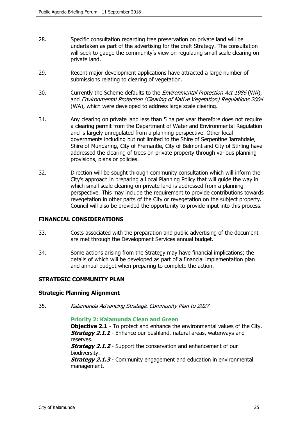- 28. Specific consultation regarding tree preservation on private land will be undertaken as part of the advertising for the draft Strategy. The consultation will seek to gauge the community's view on regulating small scale clearing on private land.
- 29. Recent major development applications have attracted a large number of submissions relating to clearing of vegetation.
- 30. Currently the Scheme defaults to the *Environmental Protection Act 1986* (WA), and Environmental Protection (Clearing of Native Vegetation) Regulations 2004 (WA), which were developed to address large scale clearing.
- 31. Any clearing on private land less than 5 ha per year therefore does not require a clearing permit from the Department of Water and Environmental Regulation and is largely unregulated from a planning perspective. Other local governments including but not limited to the Shire of Serpentine Jarrahdale, Shire of Mundaring, City of Fremantle, City of Belmont and City of Stirling have addressed the clearing of trees on private property through various planning provisions, plans or policies.
- 32. Direction will be sought through community consultation which will inform the City's approach in preparing a Local Planning Policy that will guide the way in which small scale clearing on private land is addressed from a planning perspective. This may include the requirement to provide contributions towards revegetation in other parts of the City or revegetation on the subject property. Council will also be provided the opportunity to provide input into this process.

#### **FINANCIAL CONSIDERATIONS**

- 33. Costs associated with the preparation and public advertising of the document are met through the Development Services annual budget.
- 34. Some actions arising from the Strategy may have financial implications; the details of which will be developed as part of a financial implementation plan and annual budget when preparing to complete the action.

#### **STRATEGIC COMMUNITY PLAN**

#### **Strategic Planning Alignment**

35. Kalamunda Advancing Strategic Community Plan to 2027

#### **Priority 2: Kalamunda Clean and Green**

**Objective 2.1** - To protect and enhance the environmental values of the City. **Strategy 2.1.1** - Enhance our bushland, natural areas, waterways and reserves.

**Strategy 2.1.2** - Support the conservation and enhancement of our biodiversity.

**Strategy 2.1.3** - Community engagement and education in environmental management.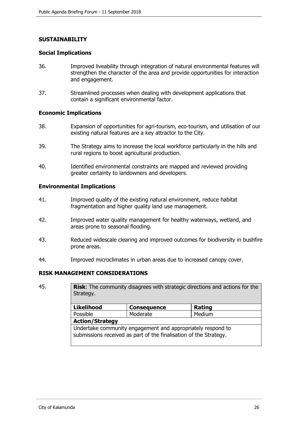# **SUSTAINABILITY**

#### **Social Implications**

- 36. Improved liveability through integration of natural environmental features will strengthen the character of the area and provide opportunities for interaction and engagement.
- 37. Streamlined processes when dealing with development applications that contain a significant environmental factor.

#### **Economic Implications**

- 38. Expansion of opportunities for agri-tourism, eco-tourism, and utilisation of our existing natural features are a key attractor to the City.
- 39. The Strategy aims to increase the local workforce particularly in the hills and rural regions to boost agricultural production.
- 40. Identified environmental constraints are mapped and reviewed providing greater certainty to landowners and developers.

#### **Environmental Implications**

- 41. Improved quality of the existing natural environment, reduce habitat fragmentation and higher quality land use management.
- 42. Improved water quality management for healthy waterways, wetland, and areas prone to seasonal flooding.
- 43. Reduced widescale clearing and improved outcomes for biodiversity in bushfire prone areas.
- 44. Improved microclimates in urban areas due to increased canopy cover.

#### **RISK MANAGEMENT CONSIDERATIONS**

45. **Risk**: The community disagrees with strategic directions and actions for the Strategy.

| <b>Likelihood</b>                                           | <b>Consequence</b> | Rating |  |
|-------------------------------------------------------------|--------------------|--------|--|
| Possible                                                    | Moderate           | Medium |  |
| <b>Action/Strategy</b>                                      |                    |        |  |
| Undertake community engagement and appropriately respond to |                    |        |  |

submissions received as part of the finalisation of the Strategy.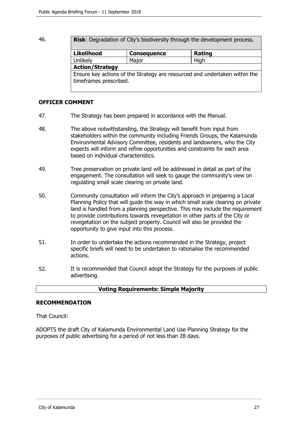46. **Risk**: Degradation of City's biodiversity through the development process.

| <b>Likelihood</b>                                                                                    | <b>Consequence</b> | <b>Rating</b> |  |
|------------------------------------------------------------------------------------------------------|--------------------|---------------|--|
| Unlikely                                                                                             | Major              | High          |  |
| <b>Action/Strategy</b>                                                                               |                    |               |  |
| Ensure key actions of the Strategy are resourced and undertaken within the<br>timeframes prescribed. |                    |               |  |

## **OFFICER COMMENT**

- 47. The Strategy has been prepared in accordance with the Manual.
- 48. The above notwithstanding, the Strategy will benefit from input from stakeholders within the community including Friends Groups, the Kalamunda Environmental Advisory Committee, residents and landowners, who the City expects will inform and refine opportunities and constraints for each area based on individual characteristics.
- 49. Tree preservation on private land will be addressed in detail as part of the engagement. The consultation will seek to gauge the community's view on regulating small scale clearing on private land.
- 50. Community consultation will inform the City's approach in preparing a Local Planning Policy that will guide the way in which small scale clearing on private land is handled from a planning perspective. This may include the requirement to provide contributions towards revegetation in other parts of the City or revegetation on the subject property. Council will also be provided the opportunity to give input into this process.
- 51. In order to undertake the actions recommended in the Strategy, project specific briefs will need to be undertaken to rationalise the recommended actions.
- 52. It is recommended that Council adopt the Strategy for the purposes of public advertising.

#### **Voting Requirements: Simple Majority**

#### **RECOMMENDATION**

That Council:

ADOPTS the draft City of Kalamunda Environmental Land Use Planning Strategy for the purposes of public advertising for a period of not less than 28 days.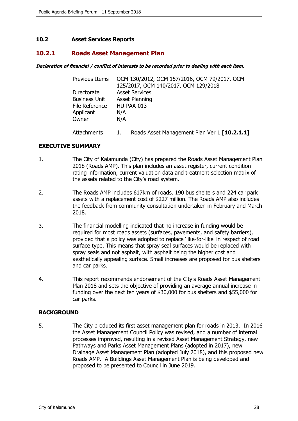### <span id="page-27-0"></span>**10.2 Asset Services Reports**

## **10.2.1 Roads Asset Management Plan**

#### **Declaration of financial / conflict of interests to be recorded prior to dealing with each item.**

| <b>Previous Items</b> | OCM 130/2012, OCM 157/2016, OCM 79/2017, OCM<br>125/2017, OCM 140/2017, OCM 129/2018 |
|-----------------------|--------------------------------------------------------------------------------------|
| Directorate           | <b>Asset Services</b>                                                                |
| <b>Business Unit</b>  | Asset Planning                                                                       |
| File Reference        | HU-PAA-013                                                                           |
| Applicant             | N/A                                                                                  |
| Owner                 | N/A                                                                                  |
| Attachments           | Roads Asset Management Plan Ver 1 [10.2.1.1]                                         |

#### **EXECUTIVE SUMMARY**

- 1. The City of Kalamunda (City) has prepared the Roads Asset Management Plan 2018 (Roads AMP). This plan includes an asset register, current condition rating information, current valuation data and treatment selection matrix of the assets related to the City's road system.
- 2. The Roads AMP includes 617km of roads, 190 bus shelters and 224 car park assets with a replacement cost of \$227 million. The Roads AMP also includes the feedback from community consultation undertaken in February and March 2018.
- 3. The financial modelling indicated that no increase in funding would be required for most roads assets (surfaces, pavements, and safety barriers), provided that a policy was adopted to replace 'like-for-like' in respect of road surface type. This means that spray seal surfaces would be replaced with spray seals and not asphalt, with asphalt being the higher cost and aesthetically appealing surface. Small increases are proposed for bus shelters and car parks.
- 4. This report recommends endorsement of the City's Roads Asset Management Plan 2018 and sets the objective of providing an average annual increase in funding over the next ten years of \$30,000 for bus shelters and \$55,000 for car parks.

#### **BACKGROUND**

5. The City produced its first asset management plan for roads in 2013. In 2016 the Asset Management Council Policy was revised, and a number of internal processes improved, resulting in a revised Asset Management Strategy, new Pathways and Parks Asset Management Plans (adopted in 2017), new Drainage Asset Management Plan (adopted July 2018), and this proposed new Roads AMP. A Buildings Asset Management Plan is being developed and proposed to be presented to Council in June 2019.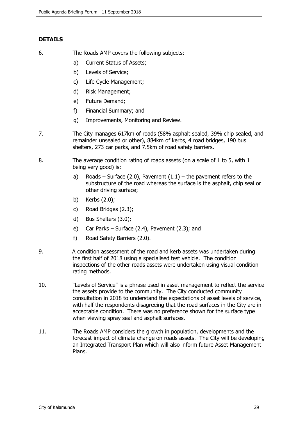# **DETAILS**

- 6. The Roads AMP covers the following subjects:
	- a) Current Status of Assets;
	- b) Levels of Service;
	- c) Life Cycle Management;
	- d) Risk Management;
	- e) Future Demand;
	- f) Financial Summary; and
	- g) Improvements, Monitoring and Review.
- 7. The City manages 617km of roads (58% asphalt sealed, 39% chip sealed, and remainder unsealed or other), 884km of kerbs, 4 road bridges, 190 bus shelters, 273 car parks, and 7.5km of road safety barriers.
- 8. The average condition rating of roads assets (on a scale of 1 to 5, with 1 being very good) is:
	- a) Roads Surface (2.0), Pavement  $(1.1)$  the pavement refers to the substructure of the road whereas the surface is the asphalt, chip seal or other driving surface;
	- b) Kerbs (2.0);
	- c) Road Bridges (2.3);
	- d) Bus Shelters (3.0);
	- e) Car Parks Surface (2.4), Pavement (2.3); and
	- f) Road Safety Barriers (2.0).
- 9. A condition assessment of the road and kerb assets was undertaken during the first half of 2018 using a specialised test vehicle. The condition inspections of the other roads assets were undertaken using visual condition rating methods.
- 10. "Levels of Service" is a phrase used in asset management to reflect the service the assets provide to the community. The City conducted community consultation in 2018 to understand the expectations of asset levels of service, with half the respondents disagreeing that the road surfaces in the City are in acceptable condition. There was no preference shown for the surface type when viewing spray seal and asphalt surfaces.
- 11. The Roads AMP considers the growth in population, developments and the forecast impact of climate change on roads assets. The City will be developing an Integrated Transport Plan which will also inform future Asset Management Plans.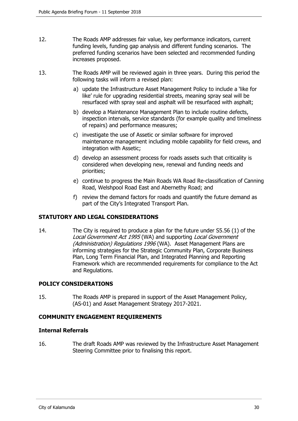- 12. The Roads AMP addresses fair value, key performance indicators, current funding levels, funding gap analysis and different funding scenarios. The preferred funding scenarios have been selected and recommended funding increases proposed.
- 13. The Roads AMP will be reviewed again in three years. During this period the following tasks will inform a revised plan:
	- a) update the Infrastructure Asset Management Policy to include a 'like for like' rule for upgrading residential streets, meaning spray seal will be resurfaced with spray seal and asphalt will be resurfaced with asphalt;
	- b) develop a Maintenance Management Plan to include routine defects, inspection intervals, service standards (for example quality and timeliness of repairs) and performance measures;
	- c) investigate the use of Assetic or similar software for improved maintenance management including mobile capability for field crews, and integration with Assetic;
	- d) develop an assessment process for roads assets such that criticality is considered when developing new, renewal and funding needs and priorities;
	- e) continue to progress the Main Roads WA Road Re-classification of Canning Road, Welshpool Road East and Abernethy Road; and
	- f) review the demand factors for roads and quantify the future demand as part of the City's Integrated Transport Plan.

# **STATUTORY AND LEGAL CONSIDERATIONS**

14. The City is required to produce a plan for the future under S5.56 (1) of the Local Government Act 1995 (WA) and supporting Local Government (Administration) Regulations 1996 (WA). Asset Management Plans are informing strategies for the Strategic Community Plan, Corporate Business Plan, Long Term Financial Plan, and Integrated Planning and Reporting Framework which are recommended requirements for compliance to the Act and Regulations.

#### **POLICY CONSIDERATIONS**

15. The Roads AMP is prepared in support of the Asset Management Policy, (AS-01) and Asset Management Strategy 2017-2021.

#### **COMMUNITY ENGAGEMENT REQUIREMENTS**

#### **Internal Referrals**

16. The draft Roads AMP was reviewed by the Infrastructure Asset Management Steering Committee prior to finalising this report.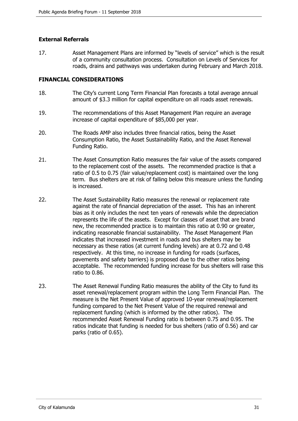# **External Referrals**

17. Asset Management Plans are informed by "levels of service" which is the result of a community consultation process. Consultation on Levels of Services for roads, drains and pathways was undertaken during February and March 2018.

#### **FINANCIAL CONSIDERATIONS**

- 18. The City's current Long Term Financial Plan forecasts a total average annual amount of \$3.3 million for capital expenditure on all roads asset renewals.
- 19. The recommendations of this Asset Management Plan require an average increase of capital expenditure of \$85,000 per year.
- 20. The Roads AMP also includes three financial ratios, being the Asset Consumption Ratio, the Asset Sustainability Ratio, and the Asset Renewal Funding Ratio.
- 21. The Asset Consumption Ratio measures the fair value of the assets compared to the replacement cost of the assets. The recommended practice is that a ratio of 0.5 to 0.75 (fair value/replacement cost) is maintained over the long term. Bus shelters are at risk of falling below this measure unless the funding is increased.
- 22. The Asset Sustainability Ratio measures the renewal or replacement rate against the rate of financial depreciation of the asset. This has an inherent bias as it only includes the next ten years of renewals while the depreciation represents the life of the assets. Except for classes of asset that are brand new, the recommended practice is to maintain this ratio at 0.90 or greater, indicating reasonable financial sustainability. The Asset Management Plan indicates that increased investment in roads and bus shelters may be necessary as these ratios (at current funding levels) are at 0.72 and 0.48 respectively. At this time, no increase in funding for roads (surfaces, pavements and safety barriers) is proposed due to the other ratios being acceptable. The recommended funding increase for bus shelters will raise this ratio to 0.86.
- 23. The Asset Renewal Funding Ratio measures the ability of the City to fund its asset renewal/replacement program within the Long Term Financial Plan. The measure is the Net Present Value of approved 10-year renewal/replacement funding compared to the Net Present Value of the required renewal and replacement funding (which is informed by the other ratios). The recommended Asset Renewal Funding ratio is between 0.75 and 0.95. The ratios indicate that funding is needed for bus shelters (ratio of 0.56) and car parks (ratio of 0.65).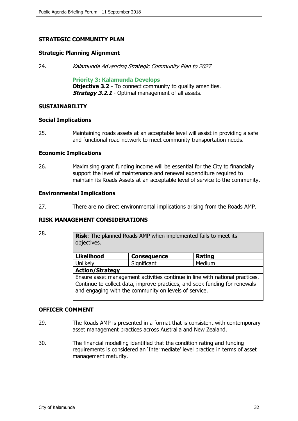# **STRATEGIC COMMUNITY PLAN**

#### **Strategic Planning Alignment**

24. Kalamunda Advancing Strategic Community Plan to 2027

**Priority 3: Kalamunda Develops**

**Objective 3.2** - To connect community to quality amenities. **Strategy 3.2.1** - Optimal management of all assets.

#### **SUSTAINABILITY**

#### **Social Implications**

25. Maintaining roads assets at an acceptable level will assist in providing a safe and functional road network to meet community transportation needs.

#### **Economic Implications**

26. Maximising grant funding income will be essential for the City to financially support the level of maintenance and renewal expenditure required to maintain its Roads Assets at an acceptable level of service to the community.

#### **Environmental Implications**

27. There are no direct environmental implications arising from the Roads AMP.

#### **RISK MANAGEMENT CONSIDERATIONS**

| <br>×. |              |  |
|--------|--------------|--|
| . .    | ۰.<br>×<br>v |  |

**Risk**: The planned Roads AMP when implemented fails to meet its objectives.

| <b>Likelihood</b>                                                            | <b>Consequence</b> | Rating |
|------------------------------------------------------------------------------|--------------------|--------|
| <b>Unlikely</b>                                                              | Significant        | Medium |
| <b>Action/Strategy</b>                                                       |                    |        |
| Ensure asset management activities continue in line with national practices. |                    |        |
| Continue to collect data, improve practices, and seek funding for renewals   |                    |        |

#### **OFFICER COMMENT**

29. The Roads AMP is presented in a format that is consistent with contemporary asset management practices across Australia and New Zealand.

and engaging with the community on levels of service.

30. The financial modelling identified that the condition rating and funding requirements is considered an 'Intermediate' level practice in terms of asset management maturity.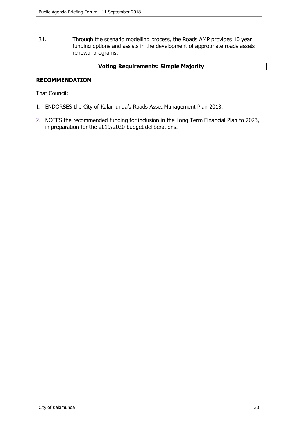31. Through the scenario modelling process, the Roads AMP provides 10 year funding options and assists in the development of appropriate roads assets renewal programs.

#### **Voting Requirements: Simple Majority**

### **RECOMMENDATION**

That Council:

- 1. ENDORSES the City of Kalamunda's Roads Asset Management Plan 2018.
- 2. NOTES the recommended funding for inclusion in the Long Term Financial Plan to 2023, in preparation for the 2019/2020 budget deliberations.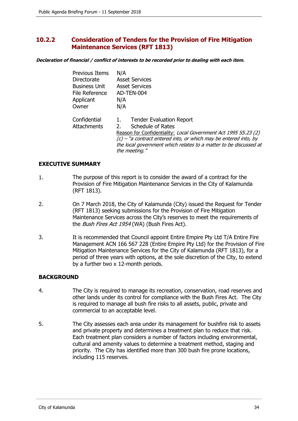# <span id="page-33-0"></span>**10.2.2 Consideration of Tenders for the Provision of Fire Mitigation Maintenance Services (RFT 1813)**

**Declaration of financial / conflict of interests to be recorded prior to dealing with each item.**

| <b>Previous Items</b> | N/A                                                                |
|-----------------------|--------------------------------------------------------------------|
| Directorate           | <b>Asset Services</b>                                              |
| <b>Business Unit</b>  | <b>Asset Services</b>                                              |
| File Reference        | AD-TEN-004                                                         |
| Applicant             | N/A                                                                |
| Owner                 | N/A                                                                |
| Confidential          | <b>Tender Evaluation Report</b><br>1.                              |
| <b>Attachments</b>    | <b>Schedule of Rates</b><br>$2_{-}$                                |
|                       | Reason for Confidentiality: Local Government Act 1995 S5.23 (2)    |
|                       | $(c)$ – "a contract entered into, or which may be entered into, by |
|                       | the local government which relates to a matter to be discussed at  |
|                       | the meeting."                                                      |

#### **EXECUTIVE SUMMARY**

- 1. The purpose of this report is to consider the award of a contract for the Provision of Fire Mitigation Maintenance Services in the City of Kalamunda (RFT 1813).
- 2. On 7 March 2018, the City of Kalamunda (City) issued the Request for Tender (RFT 1813) seeking submissions for the Provision of Fire Mitigation Maintenance Services across the City's reserves to meet the requirements of the *Bush Fires Act 1954* (WA) (Bush Fires Act).
- 3. It is recommended that Council appoint Entire Empire Pty Ltd T/A Entire Fire Management ACN 166 567 228 (Entire Empire Pty Ltd) for the Provision of Fire Mitigation Maintenance Services for the City of Kalamunda (RFT 1813), for a period of three years with options, at the sole discretion of the City, to extend by a further two x 12-month periods.

# **BACKGROUND**

- 4. The City is required to manage its recreation, conservation, road reserves and other lands under its control for compliance with the Bush Fires Act. The City is required to manage all bush fire risks to all assets, public, private and commercial to an acceptable level.
- 5. The City assesses each area under its management for bushfire risk to assets and private property and determines a treatment plan to reduce that risk. Each treatment plan considers a number of factors including environmental, cultural and amenity values to determine a treatment method, staging and priority. The City has identified more than 300 bush fire prone locations, including 115 reserves.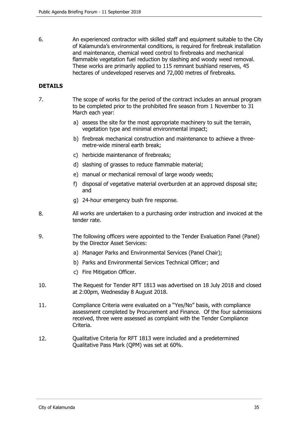6. An experienced contractor with skilled staff and equipment suitable to the City of Kalamunda's environmental conditions, is required for firebreak installation and maintenance, chemical weed control to firebreaks and mechanical flammable vegetation fuel reduction by slashing and woody weed removal. These works are primarily applied to 115 remnant bushland reserves, 45 hectares of undeveloped reserves and 72,000 metres of firebreaks.

# **DETAILS**

- 7. The scope of works for the period of the contract includes an annual program to be completed prior to the prohibited fire season from 1 November to 31 March each year:
	- a) assess the site for the most appropriate machinery to suit the terrain, vegetation type and minimal environmental impact;
	- b) firebreak mechanical construction and maintenance to achieve a threemetre-wide mineral earth break;
	- c) herbicide maintenance of firebreaks;
	- d) slashing of grasses to reduce flammable material;
	- e) manual or mechanical removal of large woody weeds;
	- f) disposal of vegetative material overburden at an approved disposal site; and
	- g) 24-hour emergency bush fire response.
- 8. All works are undertaken to a purchasing order instruction and invoiced at the tender rate.
- 9. The following officers were appointed to the Tender Evaluation Panel (Panel) by the Director Asset Services:
	- a) Manager Parks and Environmental Services (Panel Chair);
	- b) Parks and Environmental Services Technical Officer; and
	- c) Fire Mitigation Officer.
- 10. The Request for Tender RFT 1813 was advertised on 18 July 2018 and closed at 2:00pm, Wednesday 8 August 2018.
- 11. Compliance Criteria were evaluated on a "Yes/No" basis, with compliance assessment completed by Procurement and Finance. Of the four submissions received, three were assessed as complaint with the Tender Compliance Criteria.
- 12. Qualitative Criteria for RFT 1813 were included and a predetermined Qualitative Pass Mark (QPM) was set at 60%.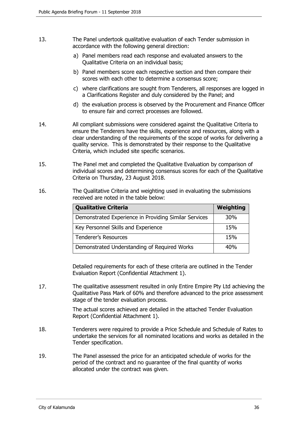- 13. The Panel undertook qualitative evaluation of each Tender submission in accordance with the following general direction:
	- a) Panel members read each response and evaluated answers to the Qualitative Criteria on an individual basis;
	- b) Panel members score each respective section and then compare their scores with each other to determine a consensus score;
	- c) where clarifications are sought from Tenderers, all responses are logged in a Clarifications Register and duly considered by the Panel; and
	- d) the evaluation process is observed by the Procurement and Finance Officer to ensure fair and correct processes are followed.
- 14. All compliant submissions were considered against the Qualitative Criteria to ensure the Tenderers have the skills, experience and resources, along with a clear understanding of the requirements of the scope of works for delivering a quality service. This is demonstrated by their response to the Qualitative Criteria, which included site specific scenarios.
- 15. The Panel met and completed the Qualitative Evaluation by comparison of individual scores and determining consensus scores for each of the Qualitative Criteria on Thursday, 23 August 2018.
- 16. The Qualitative Criteria and weighting used in evaluating the submissions received are noted in the table below:

| <b>Qualitative Criteria</b>                           | Weighting       |
|-------------------------------------------------------|-----------------|
| Demonstrated Experience in Providing Similar Services | 30 <sub>%</sub> |
| Key Personnel Skills and Experience                   | 15%             |
| <b>Tenderer's Resources</b>                           | 15%             |
| Demonstrated Understanding of Required Works          | 40%             |

Detailed requirements for each of these criteria are outlined in the Tender Evaluation Report (Confidential Attachment 1).

17. The qualitative assessment resulted in only Entire Empire Pty Ltd achieving the Qualitative Pass Mark of 60% and therefore advanced to the price assessment stage of the tender evaluation process.

> The actual scores achieved are detailed in the attached Tender Evaluation Report (Confidential Attachment 1).

- 18. Tenderers were required to provide a Price Schedule and Schedule of Rates to undertake the services for all nominated locations and works as detailed in the Tender specification.
- 19. The Panel assessed the price for an anticipated schedule of works for the period of the contract and no guarantee of the final quantity of works allocated under the contract was given.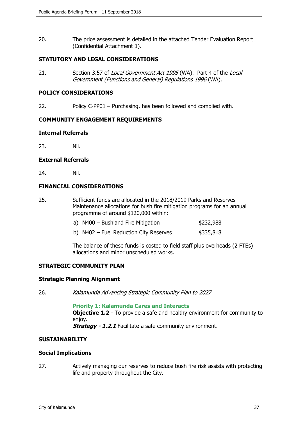20. The price assessment is detailed in the attached Tender Evaluation Report (Confidential Attachment 1).

### **STATUTORY AND LEGAL CONSIDERATIONS**

21. Section 3.57 of Local Government Act 1995 (WA). Part 4 of the Local Government (Functions and General) Regulations 1996 (WA).

#### **POLICY CONSIDERATIONS**

22. Policy C-PP01 – Purchasing, has been followed and complied with.

#### **COMMUNITY ENGAGEMENT REQUIREMENTS**

#### **Internal Referrals**

23. Nil.

#### **External Referrals**

24. Nil.

#### **FINANCIAL CONSIDERATIONS**

25. Sufficient funds are allocated in the 2018/2019 Parks and Reserves Maintenance allocations for bush fire mitigation programs for an annual programme of around \$120,000 within:

| \$232,988<br>a) N400 - Bushland Fire Mitigation |  |
|-------------------------------------------------|--|
|-------------------------------------------------|--|

b)  $N402$  – Fuel Reduction City Reserves  $$335,818$ 

The balance of these funds is costed to field staff plus overheads (2 FTEs) allocations and minor unscheduled works.

#### **STRATEGIC COMMUNITY PLAN**

#### **Strategic Planning Alignment**

26. Kalamunda Advancing Strategic Community Plan to 2027

**Priority 1: Kalamunda Cares and Interacts Objective 1.2** - To provide a safe and healthy environment for community to enjoy. **Strategy - 1.2.1** Facilitate a safe community environment.

#### **SUSTAINABILITY**

#### **Social Implications**

27. Actively managing our reserves to reduce bush fire risk assists with protecting life and property throughout the City.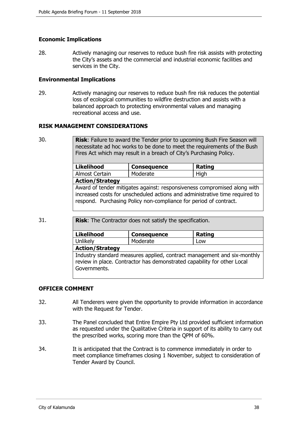# **Economic Implications**

28. Actively managing our reserves to reduce bush fire risk assists with protecting the City's assets and the commercial and industrial economic facilities and services in the City.

#### **Environmental Implications**

29. Actively managing our reserves to reduce bush fire risk reduces the potential loss of ecological communities to wildfire destruction and assists with a balanced approach to protecting environmental values and managing recreational access and use.

#### **RISK MANAGEMENT CONSIDERATIONS**

30. **Risk**: Failure to award the Tender prior to upcoming Bush Fire Season will necessitate ad hoc works to be done to meet the requirements of the Bush Fires Act which may result in a breach of City's Purchasing Policy.

| <b>Likelihood</b>                                                                                                                                                                                                            | <b>Consequence</b> | <b>Rating</b> |
|------------------------------------------------------------------------------------------------------------------------------------------------------------------------------------------------------------------------------|--------------------|---------------|
| Almost Certain                                                                                                                                                                                                               | Moderate           | High          |
| <b>Action/Strategy</b>                                                                                                                                                                                                       |                    |               |
| Award of tender mitigates against: responsiveness compromised along with<br>increased costs for unscheduled actions and administrative time required to<br>respond. Purchasing Policy non-compliance for period of contract. |                    |               |

31. **Risk**: The Contractor does not satisfy the specification.

| <b>Likelihood</b>                                                                                                                                                  | <b>Consequence</b> | <b>Rating</b> |
|--------------------------------------------------------------------------------------------------------------------------------------------------------------------|--------------------|---------------|
| Unlikely                                                                                                                                                           | Moderate           | Low           |
| <b>Action/Strategy</b>                                                                                                                                             |                    |               |
| Industry standard measures applied, contract management and six-monthly<br>review in place. Contractor has demonstrated capability for other Local<br>Governments. |                    |               |

#### **OFFICER COMMENT**

- 32. All Tenderers were given the opportunity to provide information in accordance with the Request for Tender.
- 33. The Panel concluded that Entire Empire Pty Ltd provided sufficient information as requested under the Qualitative Criteria in support of its ability to carry out the prescribed works, scoring more than the QPM of 60%.
- 34. It is anticipated that the Contract is to commence immediately in order to meet compliance timeframes closing 1 November, subject to consideration of Tender Award by Council.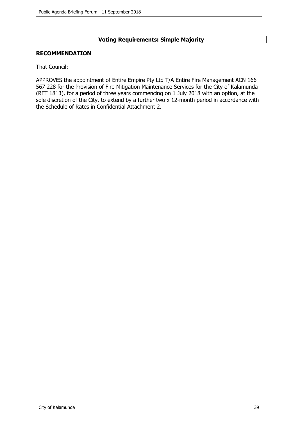# **Voting Requirements: Simple Majority**

#### **RECOMMENDATION**

That Council:

APPROVES the appointment of Entire Empire Pty Ltd T/A Entire Fire Management ACN 166 567 228 for the Provision of Fire Mitigation Maintenance Services for the City of Kalamunda (RFT 1813), for a period of three years commencing on 1 July 2018 with an option, at the sole discretion of the City, to extend by a further two x 12-month period in accordance with the Schedule of Rates in Confidential Attachment 2.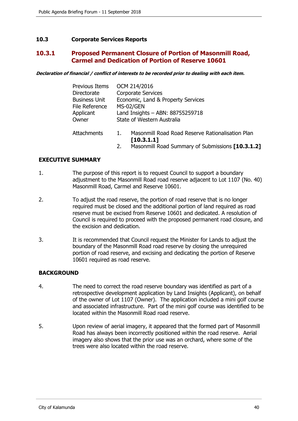# <span id="page-39-0"></span>**10.3 Corporate Services Reports**

# **10.3.1 Proposed Permanent Closure of Portion of Masonmill Road, Carmel and Dedication of Portion of Reserve 10601**

**Declaration of financial / conflict of interests to be recorded prior to dealing with each item.**

| <b>Previous Items</b> | OCM 214/2016                                                        |
|-----------------------|---------------------------------------------------------------------|
| Directorate           | <b>Corporate Services</b>                                           |
| <b>Business Unit</b>  | Economic, Land & Property Services                                  |
| File Reference        | MS-02/GEN                                                           |
| Applicant             | Land Insights - ABN: 88755259718                                    |
| Owner                 | State of Western Australia                                          |
| Attachments           | Masonmill Road Road Reserve Rationalisation Plan<br>1<br>[10.3.1.1] |

2. Masonmill Road Summary of Submissions **[10.3.1.2]**

### **EXECUTIVE SUMMARY**

- 1. The purpose of this report is to request Council to support a boundary adjustment to the Masonmill Road road reserve adjacent to Lot 1107 (No. 40) Masonmill Road, Carmel and Reserve 10601.
- 2. To adjust the road reserve, the portion of road reserve that is no longer required must be closed and the additional portion of land required as road reserve must be excised from Reserve 10601 and dedicated. A resolution of Council is required to proceed with the proposed permanent road closure, and the excision and dedication.
- 3. It is recommended that Council request the Minister for Lands to adjust the boundary of the Masonmill Road road reserve by closing the unrequired portion of road reserve, and excising and dedicating the portion of Reserve 10601 required as road reserve.

# **BACKGROUND**

- 4. The need to correct the road reserve boundary was identified as part of a retrospective development application by Land Insights (Applicant), on behalf of the owner of Lot 1107 (Owner). The application included a mini golf course and associated infrastructure. Part of the mini golf course was identified to be located within the Masonmill Road road reserve.
- 5. Upon review of aerial imagery, it appeared that the formed part of Masonmill Road has always been incorrectly positioned within the road reserve. Aerial imagery also shows that the prior use was an orchard, where some of the trees were also located within the road reserve.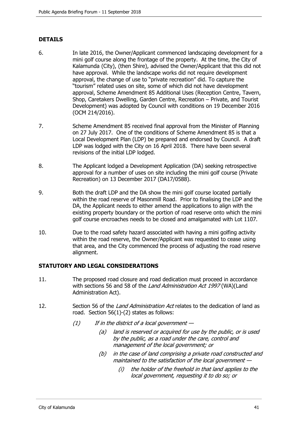# **DETAILS**

- 6. In late 2016, the Owner/Applicant commenced landscaping development for a mini golf course along the frontage of the property. At the time, the City of Kalamunda (City), (then Shire), advised the Owner/Applicant that this did not have approval. While the landscape works did not require development approval, the change of use to "private recreation" did. To capture the "tourism" related uses on site, some of which did not have development approval, Scheme Amendment 85 Additional Uses (Reception Centre, Tavern, Shop, Caretakers Dwelling, Garden Centre, Recreation – Private, and Tourist Development) was adopted by Council with conditions on 19 December 2016 (OCM 214/2016).
- 7. Scheme Amendment 85 received final approval from the Minister of Planning on 27 July 2017. One of the conditions of Scheme Amendment 85 is that a Local Development Plan (LDP) be prepared and endorsed by Council. A draft LDP was lodged with the City on 16 April 2018. There have been several revisions of the initial LDP lodged.
- 8. The Applicant lodged a Development Application (DA) seeking retrospective approval for a number of uses on site including the mini golf course (Private Recreation) on 13 December 2017 (DA17/0588).
- 9. Both the draft LDP and the DA show the mini golf course located partially within the road reserve of Masonmill Road. Prior to finalising the LDP and the DA, the Applicant needs to either amend the applications to align with the existing property boundary or the portion of road reserve onto which the mini golf course encroaches needs to be closed and amalgamated with Lot 1107.
- 10. Due to the road safety hazard associated with having a mini golfing activity within the road reserve, the Owner/Applicant was requested to cease using that area, and the City commenced the process of adjusting the road reserve alignment.

# **STATUTORY AND LEGAL CONSIDERATIONS**

- 11. The proposed road closure and road dedication must proceed in accordance with sections 56 and 58 of the *Land Administration Act 1997* (WA)(Land Administration Act).
- 12. Section 56 of the *Land Administration Act* relates to the dedication of land as road. Section 56(1)-(2) states as follows:
	- $(1)$  If in the district of a local government  $-$ 
		- (a) land is reserved or acquired for use by the public, or is used by the public, as a road under the care, control and management of the local government; or
		- (b) in the case of land comprising a private road constructed and maintained to the satisfaction of the local government —
			- (i) the holder of the freehold in that land applies to the local government, requesting it to do so; or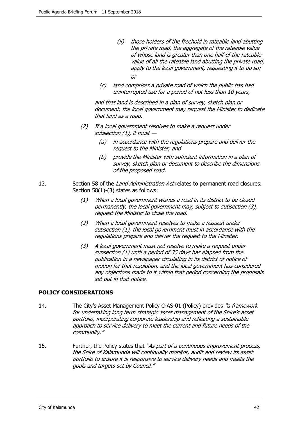- (ii) those holders of the freehold in rateable land abutting the private road, the aggregate of the rateable value of whose land is greater than one half of the rateable value of all the rateable land abutting the private road, apply to the local government, requesting it to do so; or
- (c) land comprises a private road of which the public has had uninterrupted use for a period of not less than 10 years,

and that land is described in a plan of survey, sketch plan or document, the local government may request the Minister to dedicate that land as a road.

- (2) If a local government resolves to make a request under subsection  $(1)$ , it must  $-$ 
	- (a) in accordance with the regulations prepare and deliver the request to the Minister; and
	- (b) provide the Minister with sufficient information in a plan of survey, sketch plan or document to describe the dimensions of the proposed road.
- 13. Section 58 of the Land Administration Act relates to permanent road closures. Section 58(1)-(3) states as follows:
	- (1) When a local government wishes a road in its district to be closed permanently, the local government may, subject to subsection (3), request the Minister to close the road.
	- (2) When a local government resolves to make a request under subsection (1), the local government must in accordance with the regulations prepare and deliver the request to the Minister.
	- (3) A local government must not resolve to make a request under subsection (1) until a period of 35 days has elapsed from the publication in a newspaper circulating in its district of notice of motion for that resolution, and the local government has considered any objections made to it within that period concerning the proposals set out in that notice.

# **POLICY CONSIDERATIONS**

- 14. The City's Asset Management Policy C-AS-01 (Policy) provides "a framework for undertaking long term strategic asset management of the Shire's asset portfolio, incorporating corporate leadership and reflecting a sustainable approach to service delivery to meet the current and future needs of the community."
- 15. Further, the Policy states that "As part of a continuous improvement process, the Shire of Kalamunda will continually monitor, audit and review its asset portfolio to ensure it is responsive to service delivery needs and meets the goals and targets set by Council."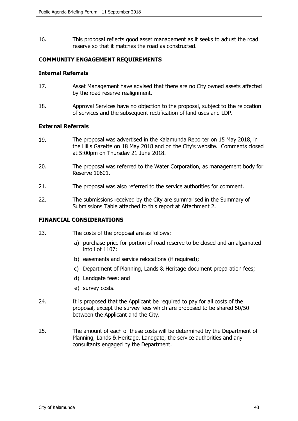16. This proposal reflects good asset management as it seeks to adjust the road reserve so that it matches the road as constructed.

### **COMMUNITY ENGAGEMENT REQUIREMENTS**

#### **Internal Referrals**

- 17. Asset Management have advised that there are no City owned assets affected by the road reserve realignment.
- 18. Approval Services have no objection to the proposal, subject to the relocation of services and the subsequent rectification of land uses and LDP.

#### **External Referrals**

- 19. The proposal was advertised in the Kalamunda Reporter on 15 May 2018, in the Hills Gazette on 18 May 2018 and on the City's website. Comments closed at 5:00pm on Thursday 21 June 2018.
- 20. The proposal was referred to the Water Corporation, as management body for Reserve 10601.
- 21. The proposal was also referred to the service authorities for comment.
- 22. The submissions received by the City are summarised in the Summary of Submissions Table attached to this report at Attachment 2.

#### **FINANCIAL CONSIDERATIONS**

- 23. The costs of the proposal are as follows:
	- a) purchase price for portion of road reserve to be closed and amalgamated into Lot 1107;
	- b) easements and service relocations (if required);
	- c) Department of Planning, Lands & Heritage document preparation fees;
	- d) Landgate fees; and
	- e) survey costs.
- 24. It is proposed that the Applicant be required to pay for all costs of the proposal, except the survey fees which are proposed to be shared 50/50 between the Applicant and the City.
- 25. The amount of each of these costs will be determined by the Department of Planning, Lands & Heritage, Landgate, the service authorities and any consultants engaged by the Department.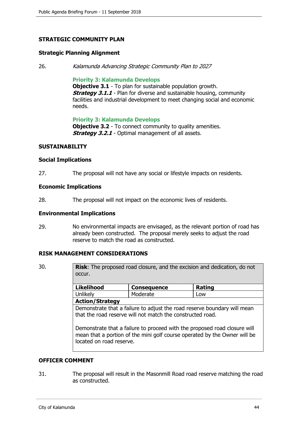# **STRATEGIC COMMUNITY PLAN**

#### **Strategic Planning Alignment**

26. Kalamunda Advancing Strategic Community Plan to 2027

#### **Priority 3: Kalamunda Develops**

**Objective 3.1** - To plan for sustainable population growth. **Strategy 3.1.1** - Plan for diverse and sustainable housing, community facilities and industrial development to meet changing social and economic needs.

**Priority 3: Kalamunda Develops**

**Objective 3.2** - To connect community to quality amenities. **Strategy 3.2.1** - Optimal management of all assets.

#### **SUSTAINABILITY**

#### **Social Implications**

27. The proposal will not have any social or lifestyle impacts on residents.

#### **Economic Implications**

28. The proposal will not impact on the economic lives of residents.

#### **Environmental Implications**

29. No environmental impacts are envisaged, as the relevant portion of road has already been constructed. The proposal merely seeks to adjust the road reserve to match the road as constructed.

#### **RISK MANAGEMENT CONSIDERATIONS**

30. **Risk**: The proposed road closure, and the excision and dedication, do not occur.

| <b>Likelihood</b>                                                        | <b>Consequence</b> | Rating |
|--------------------------------------------------------------------------|--------------------|--------|
| Unlikely                                                                 | Moderate           | Low    |
| <b>Action/Strategy</b>                                                   |                    |        |
| Demonstrate that a failure to adjust the road reserve boundary will mean |                    |        |
| that the road reserve will not match the constructed road.               |                    |        |

Demonstrate that a failure to proceed with the proposed road closure will mean that a portion of the mini golf course operated by the Owner will be located on road reserve.

#### **OFFICER COMMENT**

31. The proposal will result in the Masonmill Road road reserve matching the road as constructed.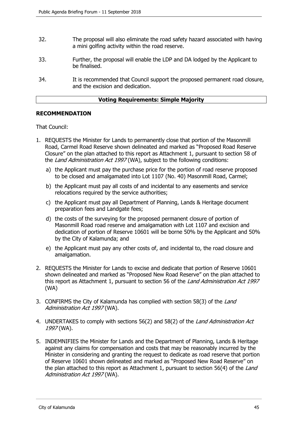- 32. The proposal will also eliminate the road safety hazard associated with having a mini golfing activity within the road reserve.
- 33. Further, the proposal will enable the LDP and DA lodged by the Applicant to be finalised.
- 34. It is recommended that Council support the proposed permanent road closure, and the excision and dedication.

#### **Voting Requirements: Simple Majority**

#### **RECOMMENDATION**

That Council:

- 1. REQUESTS the Minister for Lands to permanently close that portion of the Masonmill Road, Carmel Road Reserve shown delineated and marked as "Proposed Road Reserve Closure" on the plan attached to this report as Attachment 1, pursuant to section 58 of the Land Administration Act 1997 (WA), subject to the following conditions:
	- a) the Applicant must pay the purchase price for the portion of road reserve proposed to be closed and amalgamated into Lot 1107 (No. 40) Masonmill Road, Carmel;
	- b) the Applicant must pay all costs of and incidental to any easements and service relocations required by the service authorities;
	- c) the Applicant must pay all Department of Planning, Lands & Heritage document preparation fees and Landgate fees;
	- d) the costs of the surveying for the proposed permanent closure of portion of Masonmill Road road reserve and amalgamation with Lot 1107 and excision and dedication of portion of Reserve 10601 will be borne 50% by the Applicant and 50% by the City of Kalamunda; and
	- e) the Applicant must pay any other costs of, and incidental to, the road closure and amalgamation.
- 2. REQUESTS the Minister for Lands to excise and dedicate that portion of Reserve 10601 shown delineated and marked as "Proposed New Road Reserve" on the plan attached to this report as Attachment 1, pursuant to section 56 of the Land Administration Act 1997 (WA)
- 3. CONFIRMS the City of Kalamunda has complied with section 58(3) of the Land Administration Act 1997 (WA).
- 4. UNDERTAKES to comply with sections 56(2) and 58(2) of the *Land Administration Act* 1997 (WA).
- 5. INDEMNIFIES the Minister for Lands and the Department of Planning, Lands & Heritage against any claims for compensation and costs that may be reasonably incurred by the Minister in considering and granting the request to dedicate as road reserve that portion of Reserve 10601 shown delineated and marked as "Proposed New Road Reserve" on the plan attached to this report as Attachment 1, pursuant to section 56(4) of the Land Administration Act 1997 (WA).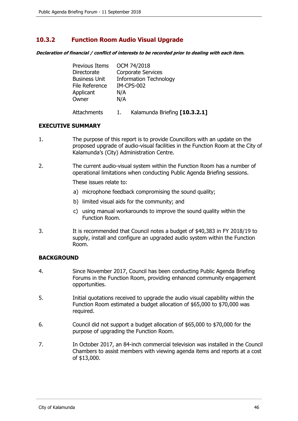# <span id="page-45-0"></span>**10.3.2 Function Room Audio Visual Upgrade**

**Declaration of financial / conflict of interests to be recorded prior to dealing with each item.**

| <b>Previous Items</b> | OCM 74/2018                   |
|-----------------------|-------------------------------|
| Directorate           | Corporate Services            |
| <b>Business Unit</b>  | <b>Information Technology</b> |
| File Reference        | <b>IM-CPS-002</b>             |
| Applicant             | N/A                           |
| Owner                 | N/A                           |
| Attachments           | Kalamunda Briefing [10.3.2.1] |

#### **EXECUTIVE SUMMARY**

- 1. The purpose of this report is to provide Councillors with an update on the proposed upgrade of audio-visual facilities in the Function Room at the City of Kalamunda's (City) Administration Centre.
- 2. The current audio-visual system within the Function Room has a number of operational limitations when conducting Public Agenda Briefing sessions.

These issues relate to:

- a) microphone feedback compromising the sound quality;
- b) limited visual aids for the community; and
- c) using manual workarounds to improve the sound quality within the Function Room.
- 3. It is recommended that Council notes a budget of \$40,383 in FY 2018/19 to supply, install and configure an upgraded audio system within the Function Room.

# **BACKGROUND**

- 4. Since November 2017, Council has been conducting Public Agenda Briefing Forums in the Function Room, providing enhanced community engagement opportunities.
- 5. Initial quotations received to upgrade the audio visual capability within the Function Room estimated a budget allocation of \$65,000 to \$70,000 was required.
- 6. Council did not support a budget allocation of \$65,000 to \$70,000 for the purpose of upgrading the Function Room.
- 7. In October 2017, an 84-inch commercial television was installed in the Council Chambers to assist members with viewing agenda items and reports at a cost of \$13,000.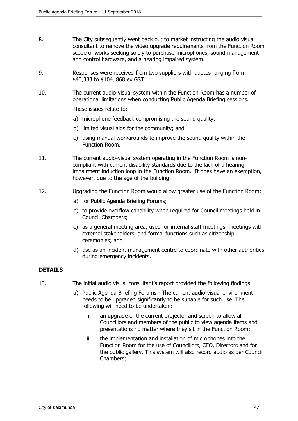- 8. The City subsequently went back out to market instructing the audio visual consultant to remove the video upgrade requirements from the Function Room scope of works seeking solely to purchase microphones, sound management and control hardware, and a hearing impaired system.
- 9. Responses were received from two suppliers with quotes ranging from \$40,383 to \$104, 868 ex GST.
- 10. The current audio-visual system within the Function Room has a number of operational limitations when conducting Public Agenda Briefing sessions.

These issues relate to:

- a) microphone feedback compromising the sound quality;
- b) limited visual aids for the community; and
- c) using manual workarounds to improve the sound quality within the Function Room.
- 11. The current audio-visual system operating in the Function Room is noncompliant with current disability standards due to the lack of a hearing impairment induction loop in the Function Room. It does have an exemption, however, due to the age of the building.
- 12. Upgrading the Function Room would allow greater use of the Function Room:
	- a) for Public Agenda Briefing Forums;
	- b) to provide overflow capability when required for Council meetings held in Council Chambers;
	- c) as a general meeting area, used for internal staff meetings, meetings with external stakeholders, and formal functions such as citizenship ceremonies; and
	- d) use as an incident management centre to coordinate with other authorities during emergency incidents.

# **DETAILS**

- 13. The initial audio visual consultant's report provided the following findings:
	- a) Public Agenda Briefing Forums The current audio-visual environment needs to be upgraded significantly to be suitable for such use. The following will need to be undertaken:
		- i. an upgrade of the current projector and screen to allow all Councillors and members of the public to view agenda items and presentations no matter where they sit in the Function Room;
		- ii. the implementation and installation of microphones into the Function Room for the use of Councillors, CEO, Directors and for the public gallery. This system will also record audio as per Council Chambers;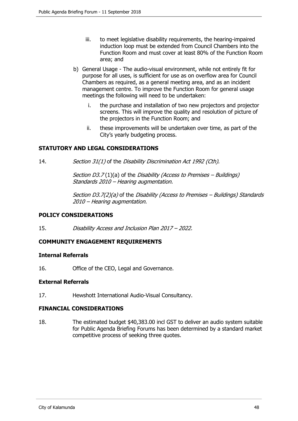- iii. to meet legislative disability requirements, the hearing-impaired induction loop must be extended from Council Chambers into the Function Room and must cover at least 80% of the Function Room area; and
- b) General Usage The audio-visual environment, while not entirely fit for purpose for all uses, is sufficient for use as on overflow area for Council Chambers as required, as a general meeting area, and as an incident management centre. To improve the Function Room for general usage meetings the following will need to be undertaken:
	- i. the purchase and installation of two new projectors and projector screens. This will improve the quality and resolution of picture of the projectors in the Function Room; and
	- ii. these improvements will be undertaken over time, as part of the City's yearly budgeting process.

### **STATUTORY AND LEGAL CONSIDERATIONS**

14. Section 31(1) of the Disability Discrimination Act 1992 (Cth).

Section D3.7(1)(a) of the Disability (Access to Premises – Buildings) Standards 2010 – Hearing augmentation.

Section D3.7(2)(a) of the Disability (Access to Premises – Buildings) Standards 2010 – Hearing augmentation.

#### **POLICY CONSIDERATIONS**

15. Disability Access and Inclusion Plan 2017 – 2022.

# **COMMUNITY ENGAGEMENT REQUIREMENTS**

#### **Internal Referrals**

16. Office of the CEO, Legal and Governance.

#### **External Referrals**

17. Hewshott International Audio-Visual Consultancy.

#### **FINANCIAL CONSIDERATIONS**

18. The estimated budget \$40,383.00 incl GST to deliver an audio system suitable for Public Agenda Briefing Forums has been determined by a standard market competitive process of seeking three quotes.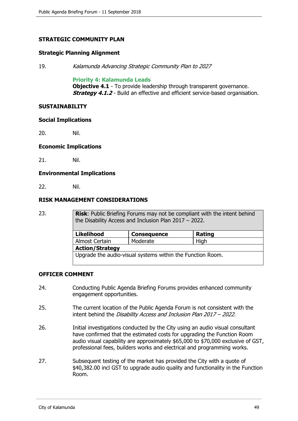# **STRATEGIC COMMUNITY PLAN**

#### **Strategic Planning Alignment**

19. Kalamunda Advancing Strategic Community Plan to 2027

#### **Priority 4: Kalamunda Leads**

**Objective 4.1** - To provide leadership through transparent governance. **Strategy 4.1.2** - Build an effective and efficient service-based organisation.

#### **SUSTAINABILITY**

#### **Social Implications**

20. Nil.

#### **Economic Implications**

21. Nil.

#### **Environmental Implications**

22. Nil.

#### **RISK MANAGEMENT CONSIDERATIONS**

23. **Risk**: Public Briefing Forums may not be compliant with the intent behind the Disability Access and Inclusion Plan 2017 – 2022.

| <b>Likelihood</b>                                          | <b>Consequence</b> | <b>Rating</b> |
|------------------------------------------------------------|--------------------|---------------|
| Almost Certain                                             | Moderate           | High          |
| <b>Action/Strategy</b>                                     |                    |               |
| Upgrade the audio-visual systems within the Function Room. |                    |               |

#### **OFFICER COMMENT**

- 24. Conducting Public Agenda Briefing Forums provides enhanced community engagement opportunities.
- 25. The current location of the Public Agenda Forum is not consistent with the intent behind the Disability Access and Inclusion Plan 2017 – 2022.
- 26. Initial investigations conducted by the City using an audio visual consultant have confirmed that the estimated costs for upgrading the Function Room audio visual capability are approximately \$65,000 to \$70,000 exclusive of GST, professional fees, builders works and electrical and programming works.
- 27. Subsequent testing of the market has provided the City with a quote of \$40,382.00 incl GST to upgrade audio quality and functionality in the Function Room.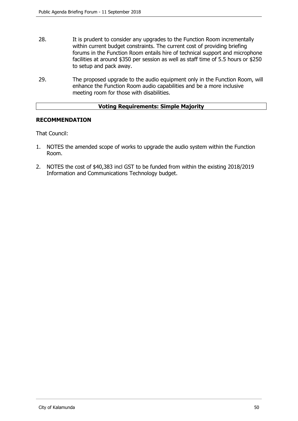- 28. It is prudent to consider any upgrades to the Function Room incrementally within current budget constraints. The current cost of providing briefing forums in the Function Room entails hire of technical support and microphone facilities at around \$350 per session as well as staff time of 5.5 hours or \$250 to setup and pack away.
- 29. The proposed upgrade to the audio equipment only in the Function Room, will enhance the Function Room audio capabilities and be a more inclusive meeting room for those with disabilities.

### **Voting Requirements: Simple Majority**

#### **RECOMMENDATION**

That Council:

- 1. NOTES the amended scope of works to upgrade the audio system within the Function Room.
- 2. NOTES the cost of \$40,383 incl GST to be funded from within the existing 2018/2019 Information and Communications Technology budget.